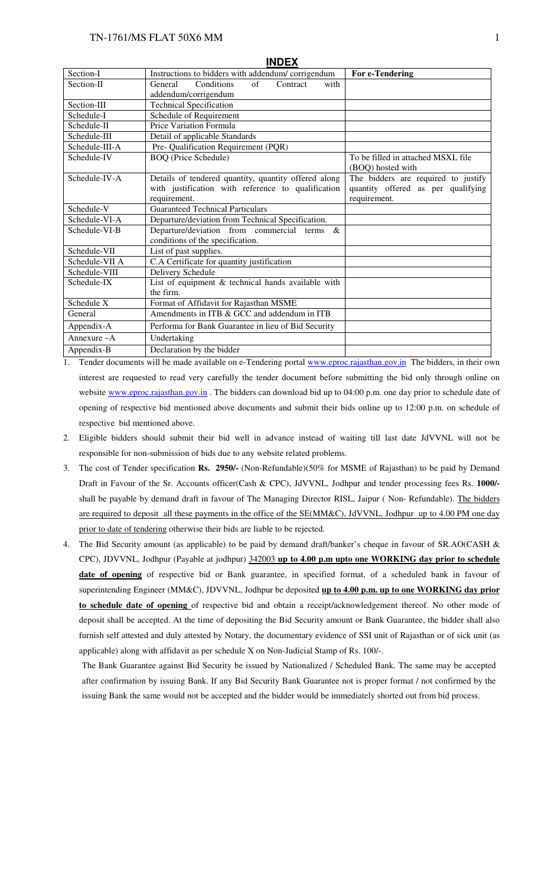#### TN-1761/MS FLAT 50X6 MM

|                | <b>INDEX</b>                                                       |                                                         |
|----------------|--------------------------------------------------------------------|---------------------------------------------------------|
| Section-I      | Instructions to bidders with addendum/corrigendum                  | For e-Tendering                                         |
| Section-II     | $\sigma$ f<br><b>General</b><br>Conditions<br>with<br>Contract     |                                                         |
|                | addendum/corrigendum                                               |                                                         |
| Section-III    | <b>Technical Specification</b>                                     |                                                         |
| Schedule-I     | Schedule of Requirement                                            |                                                         |
| Schedule-II    | Price Variation Formula                                            |                                                         |
| Schedule-III   | Detail of applicable Standards                                     |                                                         |
| Schedule-III-A | Pre- Qualification Requirement (PQR)                               |                                                         |
| Schedule-IV    | <b>BOQ</b> (Price Schedule)                                        | To be filled in attached MSXL file<br>(BOQ) hosted with |
| Schedule-IV-A  | Details of tendered quantity, quantity offered along               | The bidders are required to justify                     |
|                | with justification with reference to qualification<br>requirement. | quantity offered as per qualifying<br>requirement.      |
| Schedule-V     | <b>Guaranteed Technical Particulars</b>                            |                                                         |
| Schedule-VI-A  | Departure/deviation from Technical Specification.                  |                                                         |
| Schedule-VI-B  | Departure/deviation from commercial<br>terms<br>$\&$               |                                                         |
|                | conditions of the specification.                                   |                                                         |
| Schedule-VII   | List of past supplies.                                             |                                                         |
| Schedule-VII A | C.A Certificate for quantity justification                         |                                                         |
| Schedule-VIII  | Delivery Schedule                                                  |                                                         |
| Schedule-IX    | List of equipment & technical hands available with                 |                                                         |
|                | the firm.                                                          |                                                         |
| Schedule X     | Format of Affidavit for Rajasthan MSME                             |                                                         |
| General        | Amendments in ITB & GCC and addendum in ITB                        |                                                         |
| Appendix-A     | Performa for Bank Guarantee in lieu of Bid Security                |                                                         |
| Annexure $-A$  | Undertaking                                                        |                                                         |
| Appendix-B     | Declaration by the bidder                                          |                                                         |

- 1. Tender documents will be made available on e-Tendering portal www.eproc.rajasthan.gov.in The bidders, in their own interest are requested to read very carefully the tender document before submitting the bid only through online on website www.eproc.rajasthan.gov.in. The bidders can download bid up to 04:00 p.m. one day prior to schedule date of opening of respective bid mentioned above documents and submit their bids online up to 12:00 p.m. on schedule of respective bid mentioned above.
- 2. Eligible bidders should submit their bid well in advance instead of waiting till last date JdVVNL will not be responsible for non-submission of bids due to any website related problems.
- 3. The cost of Tender specification **Rs. 2950/-** (Non-Refundable)(50% for MSME of Rajasthan) to be paid by Demand Draft in Favour of the Sr. Accounts officer(Cash & CPC), JdVVNL, Jodhpur and tender processing fees Rs. **1000/** shall be payable by demand draft in favour of The Managing Director RISL, Jaipur (Non-Refundable). The bidders are required to deposit all these payments in the office of the SE(MM&C), JdVVNL, Jodhpur up to 4.00 PM one day prior to date of tendering otherwise their bids are liable to be rejected.
- 4. The Bid Security amount (as applicable) to be paid by demand draft/banker's cheque in favour of SR.AO(CASH & CPC), JDVVNL, Jodhpur (Payable at jodhpur) 342003 **up to 4.00 p.m upto one WORKING day prior to schedule**  date of opening of respective bid or Bank guarantee, in specified format, of a scheduled bank in favour of superintending Engineer (MM&C), JDVVNL, Jodhpur be deposited **up to 4.00 p.m. up to one WORKING day prior to schedule date of opening** of respective bid and obtain a receipt/acknowledgement thereof. No other mode of deposit shall be accepted. At the time of depositing the Bid Security amount or Bank Guarantee, the bidder shall also furnish self attested and duly attested by Notary, the documentary evidence of SSI unit of Rajasthan or of sick unit (as applicable) along with affidavit as per schedule X on Non-Judicial Stamp of Rs. 100/-.

The Bank Guarantee against Bid Security be issued by Nationalized / Scheduled Bank. The same may be accepted after confirmation by issuing Bank. If any Bid Security Bank Guarantee not is proper format / not confirmed by the issuing Bank the same would not be accepted and the bidder would be immediately shorted out from bid process.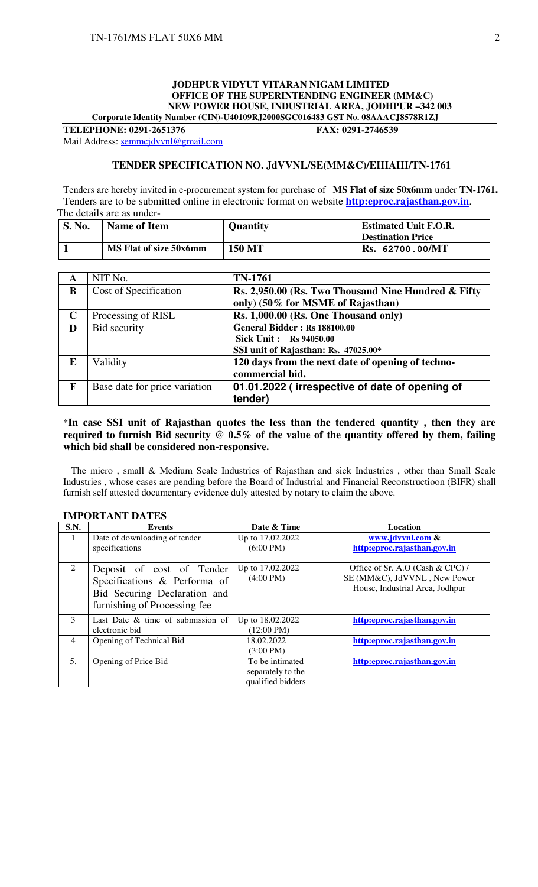#### **JODHPUR VIDYUT VITARAN NIGAM LIMITED OFFICE OF THE SUPERINTENDING ENGINEER (MM&C) NEW POWER HOUSE, INDUSTRIAL AREA, JODHPUR –342 003 Corporate Identity Number (CIN)-U40109RJ2000SGC016483 GST No. 08AAACJ8578R1ZJ**

**TELEPHONE: 0291-2651376 FAX: 0291-2746539** 

## Mail Address: semmcjdvvnl@gmail.com

#### **TENDER SPECIFICATION NO. JdVVNL/SE(MM&C)/EIIIAIII/TN-1761**

Tenders are hereby invited in e-procurement system for purchase of **MS Flat of size 50x6mm** under **TN-1761.** Tenders are to be submitted online in electronic format on website **http:eproc.rajasthan.gov.in**. The details are as under-

| <b>S. No.</b> | <b>Name of Item</b>    | <b>Quantity</b> | <b>Estimated Unit F.O.R.</b> |
|---------------|------------------------|-----------------|------------------------------|
|               |                        |                 | <b>Destination Price</b>     |
|               | MS Flat of size 50x6mm | <b>150 MT</b>   | Rs. 62700.00/MT              |

| A           | NIT No.                       | <b>TN-1761</b>                                      |
|-------------|-------------------------------|-----------------------------------------------------|
| B           | Cost of Specification         | Rs. 2,950.00 (Rs. Two Thousand Nine Hundred & Fifty |
|             |                               | only) (50% for MSME of Rajasthan)                   |
| $\mathbf C$ | Processing of RISL            | Rs. 1,000.00 (Rs. One Thousand only)                |
| D           | Bid security                  | General Bidder: Rs 188100.00                        |
|             |                               | <b>Sick Unit: Rs 94050.00</b>                       |
|             |                               | SSI unit of Rajasthan: Rs. 47025.00*                |
| E           | Validity                      | 120 days from the next date of opening of techno-   |
|             |                               | commercial bid.                                     |
| F           | Base date for price variation | 01.01.2022 (irrespective of date of opening of      |
|             |                               | tender)                                             |

#### **\*In case SSI unit of Rajasthan quotes the less than the tendered quantity , then they are required to furnish Bid security @ 0.5% of the value of the quantity offered by them, failing which bid shall be considered non-responsive.**

 The micro , small & Medium Scale Industries of Rajasthan and sick Industries , other than Small Scale Industries , whose cases are pending before the Board of Industrial and Financial Reconstructioon (BIFR) shall furnish self attested documentary evidence duly attested by notary to claim the above.

| S.N. | Events                                                                                                                    | Date & Time                                               | <b>Location</b>                                                                                     |
|------|---------------------------------------------------------------------------------------------------------------------------|-----------------------------------------------------------|-----------------------------------------------------------------------------------------------------|
|      | Date of downloading of tender<br>specifications                                                                           | Up to 17.02.2022<br>$(6:00 \text{ PM})$                   | www.jdvvnl.com &<br>http:eproc.rajasthan.gov.in                                                     |
| 2    | Deposit of cost of Tender<br>Specifications & Performa of<br>Bid Securing Declaration and<br>furnishing of Processing fee | Up to 17.02.2022<br>$(4:00 \text{ PM})$                   | Office of Sr. A.O (Cash & CPC) /<br>SE (MM&C), JdVVNL, New Power<br>House, Industrial Area, Jodhpur |
| 3    | Last Date $\&$ time of submission of<br>electronic bid                                                                    | Up to 18.02.2022<br>$(12:00 \text{ PM})$                  | http:eproc.rajasthan.gov.in                                                                         |
| 4    | Opening of Technical Bid                                                                                                  | 18.02.2022<br>$(3:00 \text{ PM})$                         | http:eproc.rajasthan.gov.in                                                                         |
| 5.   | Opening of Price Bid                                                                                                      | To be intimated<br>separately to the<br>qualified bidders | http:eproc.rajasthan.gov.in                                                                         |

### **IMPORTANT DATES**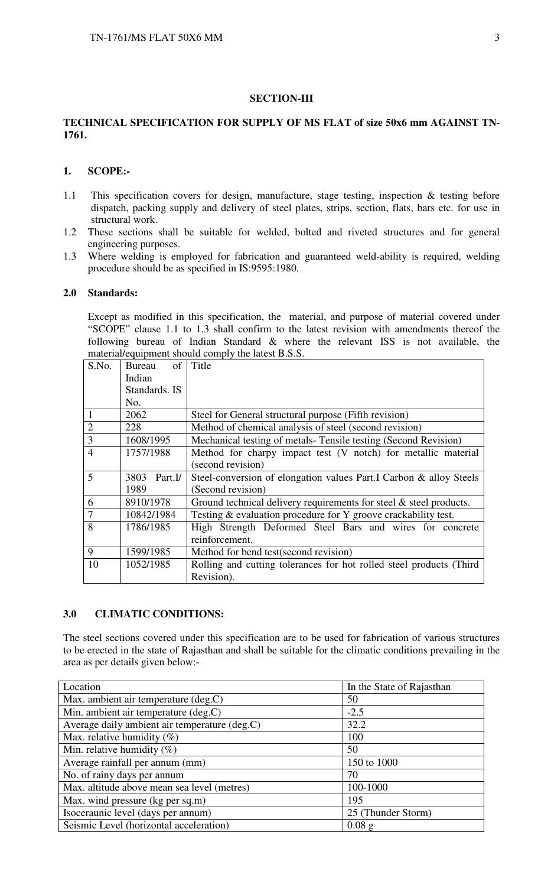#### **SECTION-III**

## **TECHNICAL SPECIFICATION FOR SUPPLY OF MS FLAT of size 50x6 mm AGAINST TN-1761.**

#### **1. SCOPE:-**

- 1.1 This specification covers for design, manufacture, stage testing, inspection & testing before dispatch, packing supply and delivery of steel plates, strips, section, flats, bars etc. for use in structural work.
- 1.2 These sections shall be suitable for welded, bolted and riveted structures and for general engineering purposes.
- 1.3 Where welding is employed for fabrication and guaranteed weld-ability is required, welding procedure should be as specified in IS:9595:1980.

#### **2.0 Standards:**

 Except as modified in this specification, the material, and purpose of material covered under "SCOPE" clause 1.1 to 1.3 shall confirm to the latest revision with amendments thereof the following bureau of Indian Standard & where the relevant ISS is not available, the material/equipment should comply the latest B.S.S.

| S.No.          | of<br><b>Bureau</b>                                                                | Title                                                              |  |
|----------------|------------------------------------------------------------------------------------|--------------------------------------------------------------------|--|
|                | Indian                                                                             |                                                                    |  |
|                | Standards. IS                                                                      |                                                                    |  |
|                | No.                                                                                |                                                                    |  |
|                | 2062                                                                               | Steel for General structural purpose (Fifth revision)              |  |
| $\overline{2}$ | 228                                                                                | Method of chemical analysis of steel (second revision)             |  |
| $\overline{3}$ | 1608/1995                                                                          | Mechanical testing of metals-Tensile testing (Second Revision)     |  |
| $\overline{4}$ | 1757/1988                                                                          | Method for charpy impact test (V notch) for metallic material      |  |
|                | (second revision)                                                                  |                                                                    |  |
| 5              | 3803<br>Part.I/                                                                    | Steel-conversion of elongation values Part.I Carbon & alloy Steels |  |
|                | 1989<br>(Second revision)                                                          |                                                                    |  |
| 6              | Ground technical delivery requirements for steel $\&$ steel products.<br>8910/1978 |                                                                    |  |
| $\tau$         | 10842/1984                                                                         | Testing & evaluation procedure for Y groove crackability test.     |  |
| 8              | 1786/1985                                                                          | High Strength Deformed Steel Bars and wires for concrete           |  |
|                |                                                                                    | reinforcement.                                                     |  |
| 9              | 1599/1985                                                                          | Method for bend test(second revision)                              |  |
| 10             | 1052/1985<br>Rolling and cutting tolerances for hot rolled steel products (Third   |                                                                    |  |
|                |                                                                                    | Revision).                                                         |  |

### **3.0 CLIMATIC CONDITIONS:**

The steel sections covered under this specification are to be used for fabrication of various structures to be erected in the state of Rajasthan and shall be suitable for the climatic conditions prevailing in the area as per details given below:-

| Location                                      | In the State of Rajasthan |
|-----------------------------------------------|---------------------------|
| Max. ambient air temperature (deg.C)          | 50                        |
| Min. ambient air temperature (deg.C)          | $-2.5$                    |
| Average daily ambient air temperature (deg.C) | 32.2                      |
| Max. relative humidity $(\%)$                 | 100                       |
| Min. relative humidity $(\%)$                 | 50                        |
| Average rainfall per annum (mm)               | 150 to 1000               |
| No. of rainy days per annum                   | 70                        |
| Max. altitude above mean sea level (metres)   | 100-1000                  |
| Max. wind pressure (kg per sq.m)              | 195                       |
| Isoceraunic level (days per annum)            | 25 (Thunder Storm)        |
| Seismic Level (horizontal acceleration)       | $0.08$ g                  |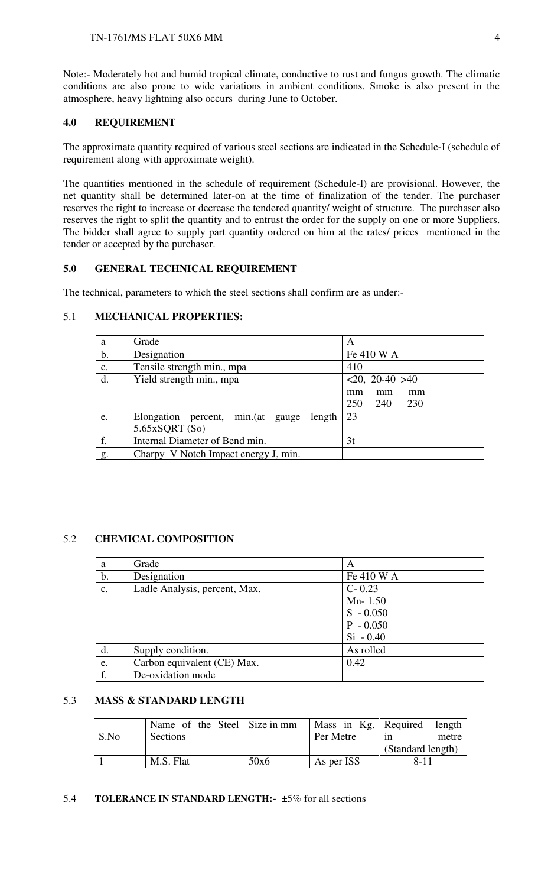Note:- Moderately hot and humid tropical climate, conductive to rust and fungus growth. The climatic conditions are also prone to wide variations in ambient conditions. Smoke is also present in the atmosphere, heavy lightning also occurs during June to October.

## **4.0 REQUIREMENT**

The approximate quantity required of various steel sections are indicated in the Schedule-I (schedule of requirement along with approximate weight).

The quantities mentioned in the schedule of requirement (Schedule-I) are provisional. However, the net quantity shall be determined later-on at the time of finalization of the tender. The purchaser reserves the right to increase or decrease the tendered quantity/ weight of structure. The purchaser also reserves the right to split the quantity and to entrust the order for the supply on one or more Suppliers. The bidder shall agree to supply part quantity ordered on him at the rates/ prices mentioned in the tender or accepted by the purchaser.

## **5.0 GENERAL TECHNICAL REQUIREMENT**

The technical, parameters to which the steel sections shall confirm are as under:-

## 5.1 **MECHANICAL PROPERTIES:**

| a              | Grade                                           | A                   |
|----------------|-------------------------------------------------|---------------------|
| b.             | Designation                                     | Fe 410 W A          |
| $\mathbf{c}$ . | Tensile strength min., mpa                      | 410                 |
| d.             | Yield strength min., mpa                        | $<20$ , 20-40 $>40$ |
|                |                                                 | mm<br>mm<br>mm      |
|                |                                                 | 250<br>240<br>230   |
| e.             | Elongation percent, min. (at<br>length<br>gauge | 23                  |
|                | 5.65xSQRT(So)                                   |                     |
| f.             | Internal Diameter of Bend min.                  | 3t                  |
| g.             | Charpy V Notch Impact energy J, min.            |                     |

## 5.2 **CHEMICAL COMPOSITION**

| a              | Grade                         | A           |
|----------------|-------------------------------|-------------|
| $\mathbf{b}$ . | Designation                   | Fe 410 W A  |
| $\mathbf{c}$ . | Ladle Analysis, percent, Max. | $C - 0.23$  |
|                |                               | $Mn-1.50$   |
|                |                               | $S - 0.050$ |
|                |                               | $P - 0.050$ |
|                |                               | $Si - 0.40$ |
| d.             | Supply condition.             | As rolled   |
| e.             | Carbon equivalent (CE) Max.   | 0.42        |
| f.             | De-oxidation mode             |             |

## 5.3 **MASS & STANDARD LENGTH**

|      | Name of the Steel Size in mm |      |            | Mass in Kg. Required length |
|------|------------------------------|------|------------|-----------------------------|
| S.No | Sections                     |      | Per Metre  | metre<br>1n                 |
|      |                              |      |            | (Standard length)           |
|      | M.S. Flat                    | 50x6 | As per ISS | 8-11                        |

#### 5.4 **TOLERANCE IN STANDARD LENGTH:-** ±5% for all sections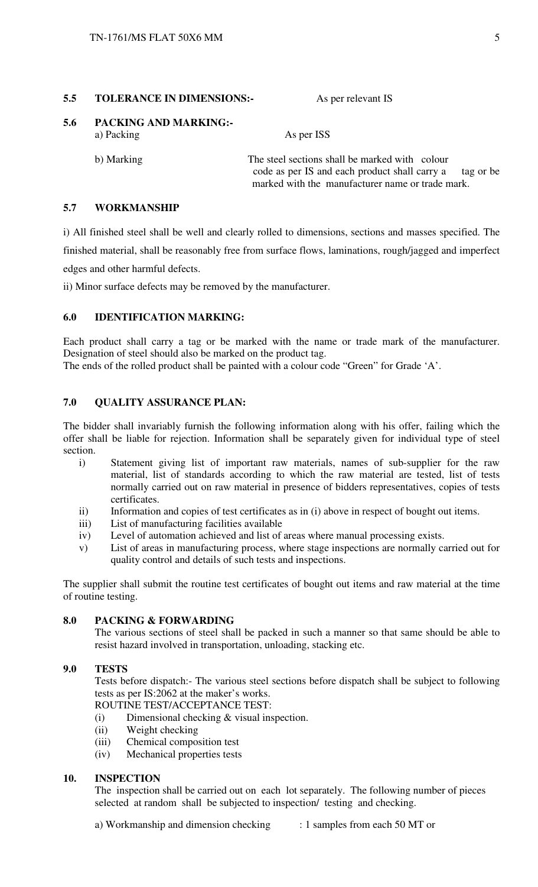#### **5.5 TOLERANCE IN DIMENSIONS:** As per relevant IS

**5.6 PACKING AND MARKING:**  a) Packing As per ISS

 b) Marking The steel sections shall be marked with colour code as per IS and each product shall carry a tag or be marked with the manufacturer name or trade mark.

## **5.7 WORKMANSHIP**

i) All finished steel shall be well and clearly rolled to dimensions, sections and masses specified. The finished material, shall be reasonably free from surface flows, laminations, rough/jagged and imperfect edges and other harmful defects.

ii) Minor surface defects may be removed by the manufacturer.

## **6.0 IDENTIFICATION MARKING:**

Each product shall carry a tag or be marked with the name or trade mark of the manufacturer. Designation of steel should also be marked on the product tag.

The ends of the rolled product shall be painted with a colour code "Green" for Grade 'A'.

### **7.0 QUALITY ASSURANCE PLAN:**

The bidder shall invariably furnish the following information along with his offer, failing which the offer shall be liable for rejection. Information shall be separately given for individual type of steel section.

- i) Statement giving list of important raw materials, names of sub-supplier for the raw material, list of standards according to which the raw material are tested, list of tests normally carried out on raw material in presence of bidders representatives, copies of tests certificates.
- ii) Information and copies of test certificates as in (i) above in respect of bought out items.
- iii) List of manufacturing facilities available
- iv) Level of automation achieved and list of areas where manual processing exists.
- v) List of areas in manufacturing process, where stage inspections are normally carried out for quality control and details of such tests and inspections.

The supplier shall submit the routine test certificates of bought out items and raw material at the time of routine testing.

#### **8.0 PACKING & FORWARDING**

The various sections of steel shall be packed in such a manner so that same should be able to resist hazard involved in transportation, unloading, stacking etc.

#### **9.0 TESTS**

Tests before dispatch:- The various steel sections before dispatch shall be subject to following tests as per IS:2062 at the maker's works.

ROUTINE TEST/ACCEPTANCE TEST:

- (i) Dimensional checking & visual inspection.
- (ii) Weight checking
- (iii) Chemical composition test
- (iv) Mechanical properties tests

#### **10. INSPECTION**

The inspection shall be carried out on each lot separately. The following number of pieces selected at random shall be subjected to inspection/ testing and checking.

a) Workmanship and dimension checking : 1 samples from each 50 MT or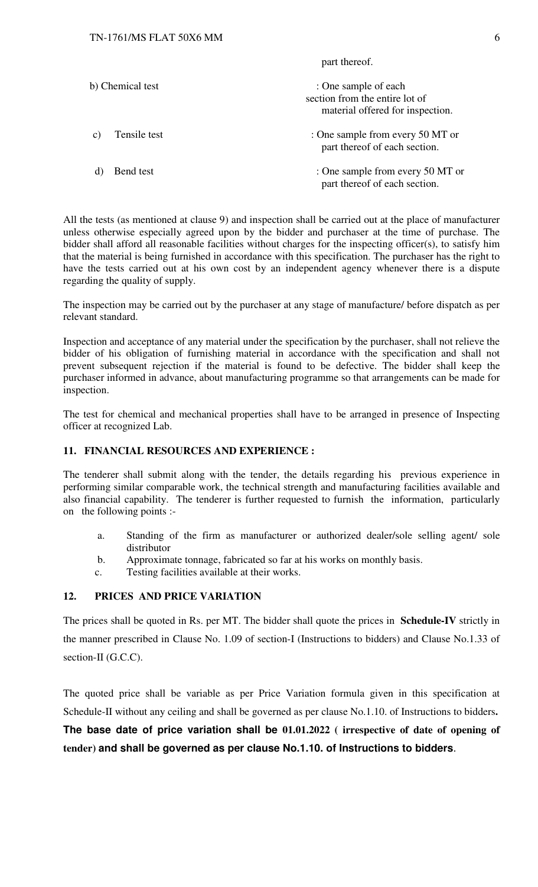part thereof.

| b) Chemical test   | : One sample of each<br>section from the entire lot of<br>material offered for inspection. |
|--------------------|--------------------------------------------------------------------------------------------|
| Tensile test<br>C) | : One sample from every 50 MT or<br>part thereof of each section.                          |
| Bend test          | : One sample from every 50 MT or<br>part thereof of each section.                          |

All the tests (as mentioned at clause 9) and inspection shall be carried out at the place of manufacturer unless otherwise especially agreed upon by the bidder and purchaser at the time of purchase. The bidder shall afford all reasonable facilities without charges for the inspecting officer(s), to satisfy him that the material is being furnished in accordance with this specification. The purchaser has the right to have the tests carried out at his own cost by an independent agency whenever there is a dispute regarding the quality of supply.

The inspection may be carried out by the purchaser at any stage of manufacture/ before dispatch as per relevant standard.

Inspection and acceptance of any material under the specification by the purchaser, shall not relieve the bidder of his obligation of furnishing material in accordance with the specification and shall not prevent subsequent rejection if the material is found to be defective. The bidder shall keep the purchaser informed in advance, about manufacturing programme so that arrangements can be made for inspection.

The test for chemical and mechanical properties shall have to be arranged in presence of Inspecting officer at recognized Lab.

### **11. FINANCIAL RESOURCES AND EXPERIENCE :**

The tenderer shall submit along with the tender, the details regarding his previous experience in performing similar comparable work, the technical strength and manufacturing facilities available and also financial capability. The tenderer is further requested to furnish the information, particularly on the following points :-

- a. Standing of the firm as manufacturer or authorized dealer/sole selling agent/ sole distributor
- b. Approximate tonnage, fabricated so far at his works on monthly basis.
- c. Testing facilities available at their works.

### **12. PRICES AND PRICE VARIATION**

The prices shall be quoted in Rs. per MT. The bidder shall quote the prices in **Schedule-IV** strictly in the manner prescribed in Clause No. 1.09 of section-I (Instructions to bidders) and Clause No.1.33 of section-II (G.C.C).

The quoted price shall be variable as per Price Variation formula given in this specification at Schedule-II without any ceiling and shall be governed as per clause No.1.10. of Instructions to bidders**.** 

**The base date of price variation shall be 01.01.2022 ( irrespective of date of opening of tender) and shall be governed as per clause No.1.10. of Instructions to bidders**.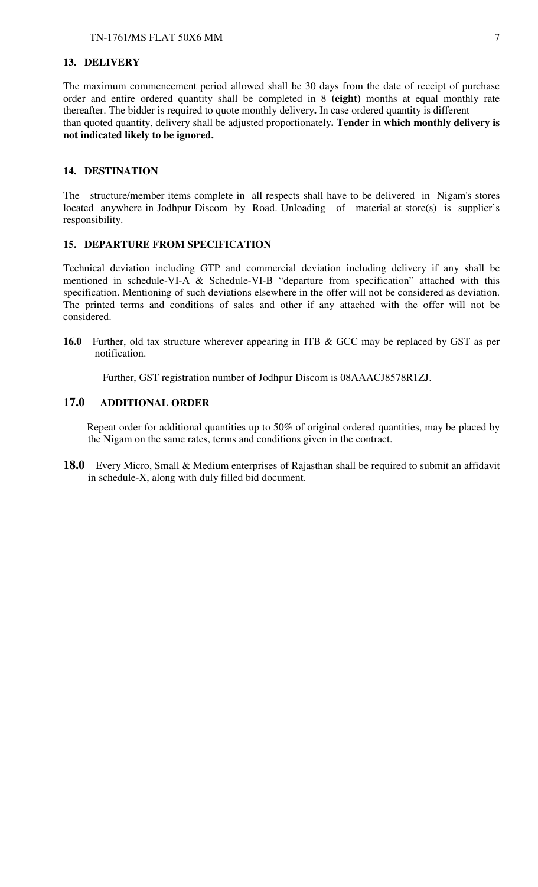#### **13. DELIVERY**

The maximum commencement period allowed shall be 30 days from the date of receipt of purchase order and entire ordered quantity shall be completed in 8 **(eight)** months at equal monthly rate thereafter. The bidder is required to quote monthly delivery**.** In case ordered quantity is different than quoted quantity, delivery shall be adjusted proportionately**. Tender in which monthly delivery is not indicated likely to be ignored.**

#### **14. DESTINATION**

The structure/member items complete in all respects shall have to be delivered in Nigam's stores located anywhere in Jodhpur Discom by Road. Unloading of material at store(s) is supplier's responsibility.

## **15. DEPARTURE FROM SPECIFICATION**

Technical deviation including GTP and commercial deviation including delivery if any shall be mentioned in schedule-VI-A & Schedule-VI-B "departure from specification" attached with this specification. Mentioning of such deviations elsewhere in the offer will not be considered as deviation. The printed terms and conditions of sales and other if any attached with the offer will not be considered.

**16.0** Further, old tax structure wherever appearing in ITB & GCC may be replaced by GST as per notification.

Further, GST registration number of Jodhpur Discom is 08AAACJ8578R1ZJ.

## **17.0 ADDITIONAL ORDER**

 Repeat order for additional quantities up to 50% of original ordered quantities, may be placed by the Nigam on the same rates, terms and conditions given in the contract.

**18.0** Every Micro, Small & Medium enterprises of Rajasthan shall be required to submit an affidavit in schedule-X, along with duly filled bid document.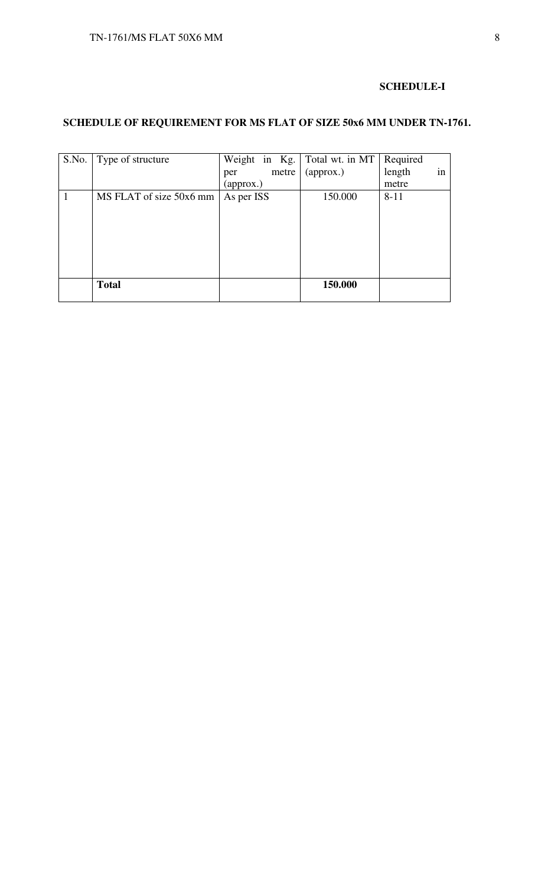### **SCHEDULE-I**

# **SCHEDULE OF REQUIREMENT FOR MS FLAT OF SIZE 50x6 MM UNDER TN-1761.**

| S.No. | Type of structure       | Weight in Kg. Total wt. in MT |           | Required     |
|-------|-------------------------|-------------------------------|-----------|--------------|
|       |                         | metre<br>per                  | (approx.) | in<br>length |
|       |                         | (approx.)                     |           | metre        |
| 1     | MS FLAT of size 50x6 mm | As per ISS                    | 150.000   | $8 - 11$     |
|       |                         |                               |           |              |
|       |                         |                               |           |              |
|       |                         |                               |           |              |
|       |                         |                               |           |              |
|       |                         |                               |           |              |
|       |                         |                               |           |              |
|       | <b>Total</b>            |                               | 150.000   |              |
|       |                         |                               |           |              |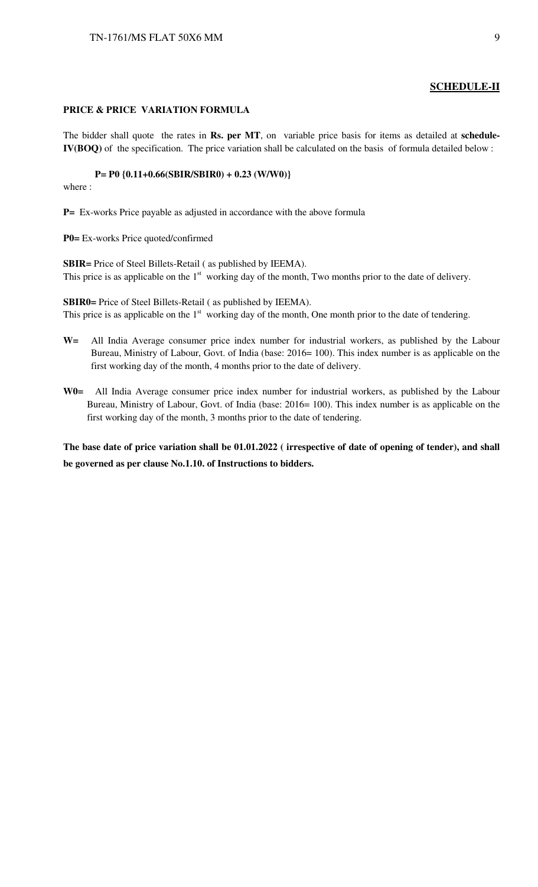#### **SCHEDULE-II**

#### **PRICE & PRICE VARIATION FORMULA**

The bidder shall quote the rates in **Rs. per MT**, on variable price basis for items as detailed at **schedule-IV(BOQ)** of the specification. The price variation shall be calculated on the basis of formula detailed below :

#### **P= P0 {0.11+0.66(SBIR/SBIR0) + 0.23 (W/W0)}**

where :

**P=** Ex-works Price payable as adjusted in accordance with the above formula

**P0=** Ex-works Price quoted/confirmed

**SBIR=** Price of Steel Billets-Retail ( as published by IEEMA). This price is as applicable on the 1<sup>st</sup> working day of the month, Two months prior to the date of delivery.

**SBIR0=** Price of Steel Billets-Retail ( as published by IEEMA). This price is as applicable on the  $1<sup>st</sup>$  working day of the month, One month prior to the date of tendering.

- **W=** All India Average consumer price index number for industrial workers, as published by the Labour Bureau, Ministry of Labour, Govt. of India (base: 2016= 100). This index number is as applicable on the first working day of the month, 4 months prior to the date of delivery.
- **W0=** All India Average consumer price index number for industrial workers, as published by the Labour Bureau, Ministry of Labour, Govt. of India (base: 2016= 100). This index number is as applicable on the first working day of the month, 3 months prior to the date of tendering.

**The base date of price variation shall be 01.01.2022 ( irrespective of date of opening of tender), and shall be governed as per clause No.1.10. of Instructions to bidders.**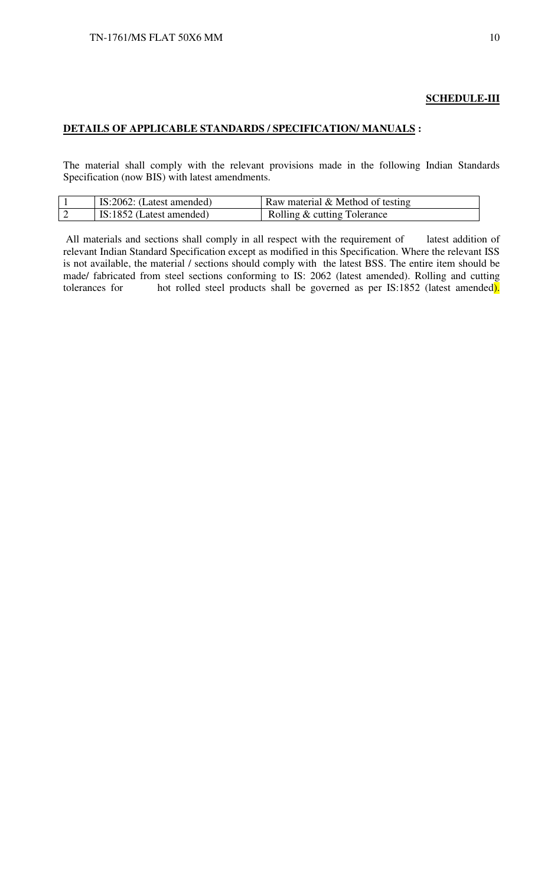## **SCHEDULE-III**

### **DETAILS OF APPLICABLE STANDARDS / SPECIFICATION/ MANUALS :**

The material shall comply with the relevant provisions made in the following Indian Standards Specification (now BIS) with latest amendments.

| IS:2062: (Latest amended) | Raw material $&$ Method of testing |
|---------------------------|------------------------------------|
| IS:1852 (Latest amended)  | Rolling & cutting Tolerance        |

 All materials and sections shall comply in all respect with the requirement of latest addition of relevant Indian Standard Specification except as modified in this Specification. Where the relevant ISS is not available, the material / sections should comply with the latest BSS. The entire item should be made/ fabricated from steel sections conforming to IS: 2062 (latest amended). Rolling and cutting tolerances for hot rolled steel products shall be governed as per IS:1852 (latest amended). hot rolled steel products shall be governed as per IS:1852 (latest amended).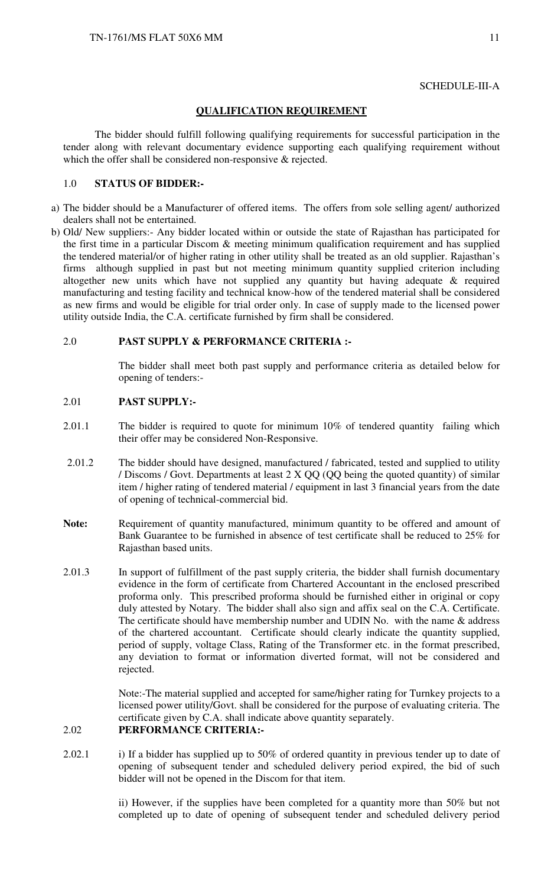## SCHEDULE-III-A

### **QUALIFICATION REQUIREMENT**

The bidder should fulfill following qualifying requirements for successful participation in the tender along with relevant documentary evidence supporting each qualifying requirement without which the offer shall be considered non-responsive & rejected.

#### 1.0 **STATUS OF BIDDER:-**

- a) The bidder should be a Manufacturer of offered items. The offers from sole selling agent/ authorized dealers shall not be entertained.
- b) Old/ New suppliers:- Any bidder located within or outside the state of Rajasthan has participated for the first time in a particular Discom & meeting minimum qualification requirement and has supplied the tendered material/or of higher rating in other utility shall be treated as an old supplier. Rajasthan's firms although supplied in past but not meeting minimum quantity supplied criterion including altogether new units which have not supplied any quantity but having adequate & required manufacturing and testing facility and technical know-how of the tendered material shall be considered as new firms and would be eligible for trial order only. In case of supply made to the licensed power utility outside India, the C.A. certificate furnished by firm shall be considered.

## 2.0 **PAST SUPPLY & PERFORMANCE CRITERIA :-**

 The bidder shall meet both past supply and performance criteria as detailed below for opening of tenders:-

#### 2.01 **PAST SUPPLY:-**

- 2.01.1 The bidder is required to quote for minimum 10% of tendered quantity failing which their offer may be considered Non-Responsive.
- 2.01.2 The bidder should have designed, manufactured / fabricated, tested and supplied to utility / Discoms / Govt. Departments at least 2 X QQ (QQ being the quoted quantity) of similar item / higher rating of tendered material / equipment in last 3 financial years from the date of opening of technical-commercial bid.
- Note: Requirement of quantity manufactured, minimum quantity to be offered and amount of Bank Guarantee to be furnished in absence of test certificate shall be reduced to 25% for Rajasthan based units.
- 2.01.3 In support of fulfillment of the past supply criteria, the bidder shall furnish documentary evidence in the form of certificate from Chartered Accountant in the enclosed prescribed proforma only. This prescribed proforma should be furnished either in original or copy duly attested by Notary. The bidder shall also sign and affix seal on the C.A. Certificate. The certificate should have membership number and UDIN No. with the name & address of the chartered accountant. Certificate should clearly indicate the quantity supplied, period of supply, voltage Class, Rating of the Transformer etc. in the format prescribed, any deviation to format or information diverted format, will not be considered and rejected.

Note:-The material supplied and accepted for same/higher rating for Turnkey projects to a licensed power utility/Govt. shall be considered for the purpose of evaluating criteria. The certificate given by C.A. shall indicate above quantity separately.

## 2.02 **PERFORMANCE CRITERIA:-**

2.02.1 i) If a bidder has supplied up to 50% of ordered quantity in previous tender up to date of opening of subsequent tender and scheduled delivery period expired, the bid of such bidder will not be opened in the Discom for that item.

> ii) However, if the supplies have been completed for a quantity more than 50% but not completed up to date of opening of subsequent tender and scheduled delivery period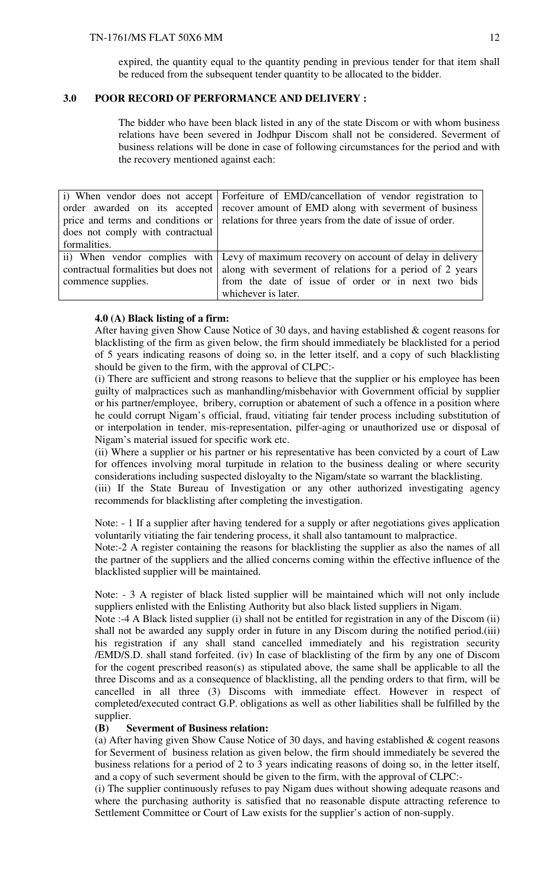#### TN-1761/MS FLAT 50X6 MM

expired, the quantity equal to the quantity pending in previous tender for that item shall be reduced from the subsequent tender quantity to be allocated to the bidder.

## **3.0 POOR RECORD OF PERFORMANCE AND DELIVERY :**

The bidder who have been black listed in any of the state Discom or with whom business relations have been severed in Jodhpur Discom shall not be considered. Severment of business relations will be done in case of following circumstances for the period and with the recovery mentioned against each:

|                                      | i) When vendor does not accept Forfeiture of EMD/cancellation of vendor registration to      |
|--------------------------------------|----------------------------------------------------------------------------------------------|
|                                      | order awarded on its accepted recover amount of EMD along with severment of business         |
|                                      | price and terms and conditions or relations for three years from the date of issue of order. |
| does not comply with contractual     |                                                                                              |
| formalities.                         |                                                                                              |
|                                      | ii) When vendor complies with Levy of maximum recovery on account of delay in delivery       |
| contractual formalities but does not | along with severment of relations for a period of 2 years                                    |
| commence supplies.                   | from the date of issue of order or in next two bids                                          |
|                                      | whichever is later.                                                                          |

#### **4.0 (A) Black listing of a firm:**

After having given Show Cause Notice of 30 days, and having established & cogent reasons for blacklisting of the firm as given below, the firm should immediately be blacklisted for a period of 5 years indicating reasons of doing so, in the letter itself, and a copy of such blacklisting should be given to the firm, with the approval of CLPC:-

(i) There are sufficient and strong reasons to believe that the supplier or his employee has been guilty of malpractices such as manhandling/misbehavior with Government official by supplier or his partner/employee, bribery, corruption or abatement of such a offence in a position where he could corrupt Nigam's official, fraud, vitiating fair tender process including substitution of or interpolation in tender, mis-representation, pilfer-aging or unauthorized use or disposal of Nigam's material issued for specific work etc.

(ii) Where a supplier or his partner or his representative has been convicted by a court of Law for offences involving moral turpitude in relation to the business dealing or where security considerations including suspected disloyalty to the Nigam/state so warrant the blacklisting.

(iii) If the State Bureau of Investigation or any other authorized investigating agency recommends for blacklisting after completing the investigation.

Note: - 1 If a supplier after having tendered for a supply or after negotiations gives application voluntarily vitiating the fair tendering process, it shall also tantamount to malpractice.

Note:-2 A register containing the reasons for blacklisting the supplier as also the names of all the partner of the suppliers and the allied concerns coming within the effective influence of the blacklisted supplier will be maintained.

Note: - 3 A register of black listed supplier will be maintained which will not only include suppliers enlisted with the Enlisting Authority but also black listed suppliers in Nigam.

Note :-4 A Black listed supplier (i) shall not be entitled for registration in any of the Discom (ii) shall not be awarded any supply order in future in any Discom during the notified period.(iii) his registration if any shall stand cancelled immediately and his registration security /EMD/S.D. shall stand forfeited. (iv) In case of blacklisting of the firm by any one of Discom for the cogent prescribed reason(s) as stipulated above, the same shall be applicable to all the three Discoms and as a consequence of blacklisting, all the pending orders to that firm, will be cancelled in all three (3) Discoms with immediate effect. However in respect of completed/executed contract G.P. obligations as well as other liabilities shall be fulfilled by the supplier.

### **(B) Severment of Business relation:**

(a) After having given Show Cause Notice of 30 days, and having established & cogent reasons for Severment of business relation as given below, the firm should immediately be severed the business relations for a period of 2 to 3 years indicating reasons of doing so, in the letter itself, and a copy of such severment should be given to the firm, with the approval of CLPC:-

(i) The supplier continuously refuses to pay Nigam dues without showing adequate reasons and where the purchasing authority is satisfied that no reasonable dispute attracting reference to Settlement Committee or Court of Law exists for the supplier's action of non-supply.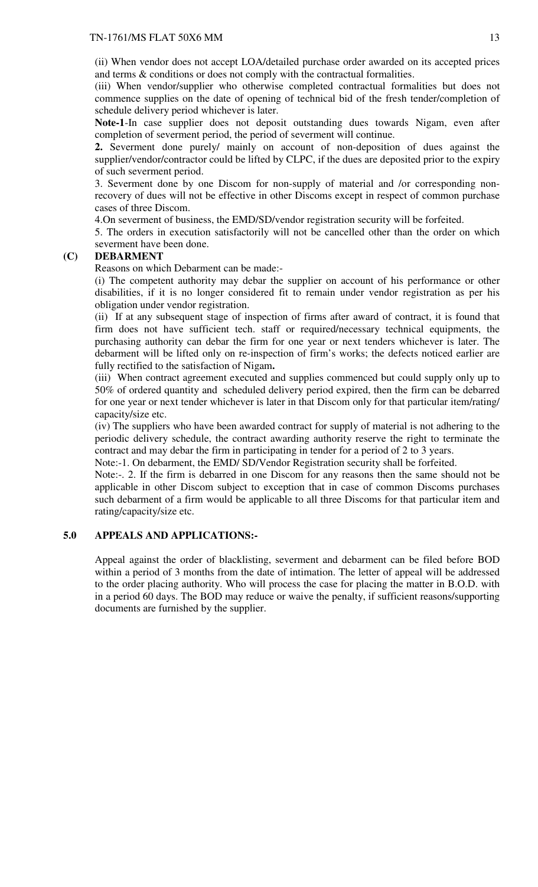(ii) When vendor does not accept LOA/detailed purchase order awarded on its accepted prices and terms & conditions or does not comply with the contractual formalities.

(iii) When vendor/supplier who otherwise completed contractual formalities but does not commence supplies on the date of opening of technical bid of the fresh tender/completion of schedule delivery period whichever is later.

**Note-1**-In case supplier does not deposit outstanding dues towards Nigam, even after completion of severment period, the period of severment will continue.

**2.** Severment done purely/ mainly on account of non-deposition of dues against the supplier/vendor/contractor could be lifted by CLPC, if the dues are deposited prior to the expiry of such severment period.

3. Severment done by one Discom for non-supply of material and /or corresponding nonrecovery of dues will not be effective in other Discoms except in respect of common purchase cases of three Discom.

4.On severment of business, the EMD/SD/vendor registration security will be forfeited.

5. The orders in execution satisfactorily will not be cancelled other than the order on which severment have been done.

#### **(C) DEBARMENT**

Reasons on which Debarment can be made:-

(i) The competent authority may debar the supplier on account of his performance or other disabilities, if it is no longer considered fit to remain under vendor registration as per his obligation under vendor registration.

(ii) If at any subsequent stage of inspection of firms after award of contract, it is found that firm does not have sufficient tech. staff or required/necessary technical equipments, the purchasing authority can debar the firm for one year or next tenders whichever is later. The debarment will be lifted only on re-inspection of firm's works; the defects noticed earlier are fully rectified to the satisfaction of Nigam**.** 

(iii) When contract agreement executed and supplies commenced but could supply only up to 50% of ordered quantity and scheduled delivery period expired, then the firm can be debarred for one year or next tender whichever is later in that Discom only for that particular item/rating/ capacity/size etc.

(iv) The suppliers who have been awarded contract for supply of material is not adhering to the periodic delivery schedule, the contract awarding authority reserve the right to terminate the contract and may debar the firm in participating in tender for a period of 2 to 3 years.

Note:-1. On debarment, the EMD/ SD/Vendor Registration security shall be forfeited.

Note:-. 2. If the firm is debarred in one Discom for any reasons then the same should not be applicable in other Discom subject to exception that in case of common Discoms purchases such debarment of a firm would be applicable to all three Discoms for that particular item and rating/capacity/size etc.

## **5.0 APPEALS AND APPLICATIONS:-**

Appeal against the order of blacklisting, severment and debarment can be filed before BOD within a period of 3 months from the date of intimation. The letter of appeal will be addressed to the order placing authority. Who will process the case for placing the matter in B.O.D. with in a period 60 days. The BOD may reduce or waive the penalty, if sufficient reasons/supporting documents are furnished by the supplier.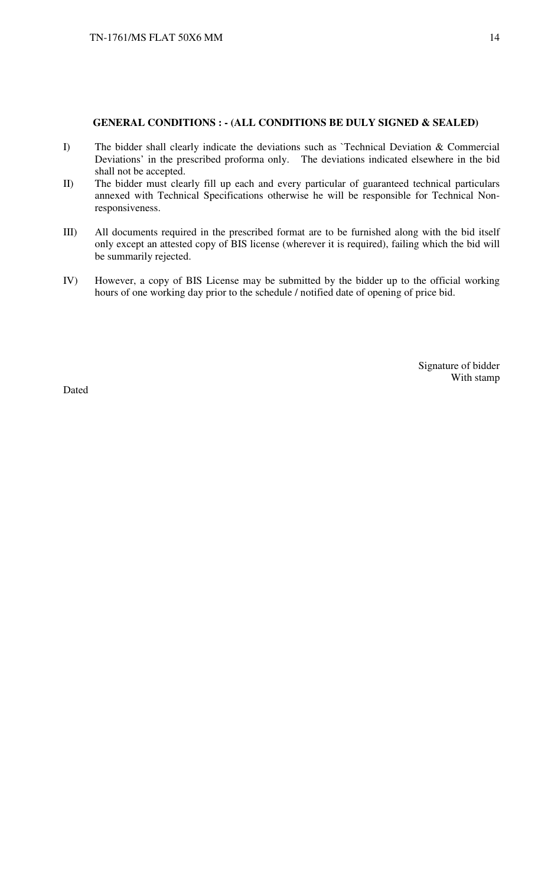#### **GENERAL CONDITIONS : - (ALL CONDITIONS BE DULY SIGNED & SEALED)**

- I) The bidder shall clearly indicate the deviations such as `Technical Deviation & Commercial Deviations' in the prescribed proforma only. The deviations indicated elsewhere in the bid shall not be accepted.
- II) The bidder must clearly fill up each and every particular of guaranteed technical particulars annexed with Technical Specifications otherwise he will be responsible for Technical Nonresponsiveness.
- III) All documents required in the prescribed format are to be furnished along with the bid itself only except an attested copy of BIS license (wherever it is required), failing which the bid will be summarily rejected.
- IV) However, a copy of BIS License may be submitted by the bidder up to the official working hours of one working day prior to the schedule / notified date of opening of price bid.

Signature of bidder With stamp

Dated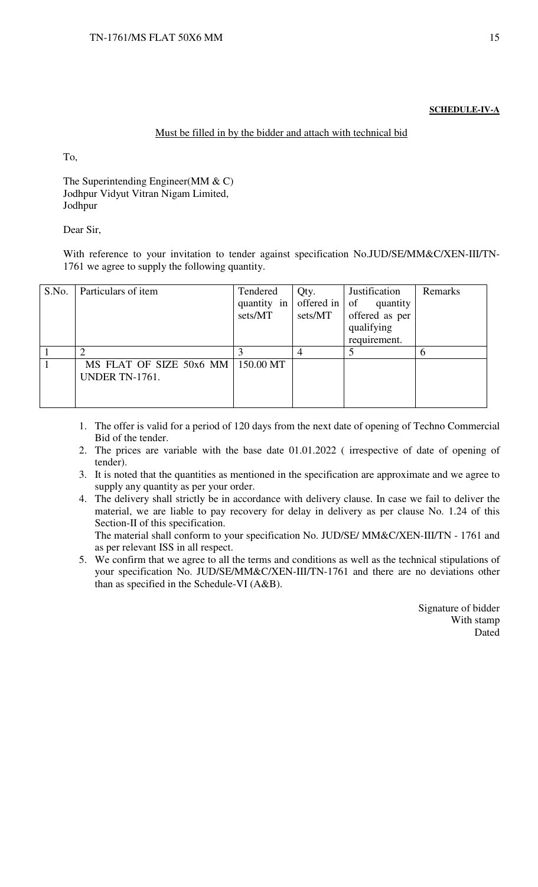#### **SCHEDULE-IV-A**

### Must be filled in by the bidder and attach with technical bid

To,

The Superintending Engineer(MM & C) Jodhpur Vidyut Vitran Nigam Limited, Jodhpur

Dear Sir,

With reference to your invitation to tender against specification No.JUD/SE/MM&C/XEN-III/TN-1761 we agree to supply the following quantity.

| S.No. | Particulars of item     | Tendered    | Qty.       | Justification  | Remarks       |
|-------|-------------------------|-------------|------------|----------------|---------------|
|       |                         | quantity in | offered in | of<br>quantity |               |
|       |                         | sets/MT     | sets/MT    | offered as per |               |
|       |                         |             |            | qualifying     |               |
|       |                         |             |            | requirement.   |               |
|       |                         |             |            |                | $\mathfrak b$ |
|       | MS FLAT OF SIZE 50x6 MM | 150.00 MT   |            |                |               |
|       | <b>UNDER TN-1761.</b>   |             |            |                |               |
|       |                         |             |            |                |               |
|       |                         |             |            |                |               |

- 1. The offer is valid for a period of 120 days from the next date of opening of Techno Commercial Bid of the tender.
- 2. The prices are variable with the base date 01.01.2022 ( irrespective of date of opening of tender).
- 3. It is noted that the quantities as mentioned in the specification are approximate and we agree to supply any quantity as per your order.
- 4. The delivery shall strictly be in accordance with delivery clause. In case we fail to deliver the material, we are liable to pay recovery for delay in delivery as per clause No. 1.24 of this Section-II of this specification. The material shall conform to your specification No. JUD/SE/ MM&C/XEN-III/TN - 1761 and

as per relevant ISS in all respect.

5. We confirm that we agree to all the terms and conditions as well as the technical stipulations of your specification No. JUD/SE/MM&C/XEN-III/TN-1761 and there are no deviations other than as specified in the Schedule-VI (A&B).

> Signature of bidder With stamp Dated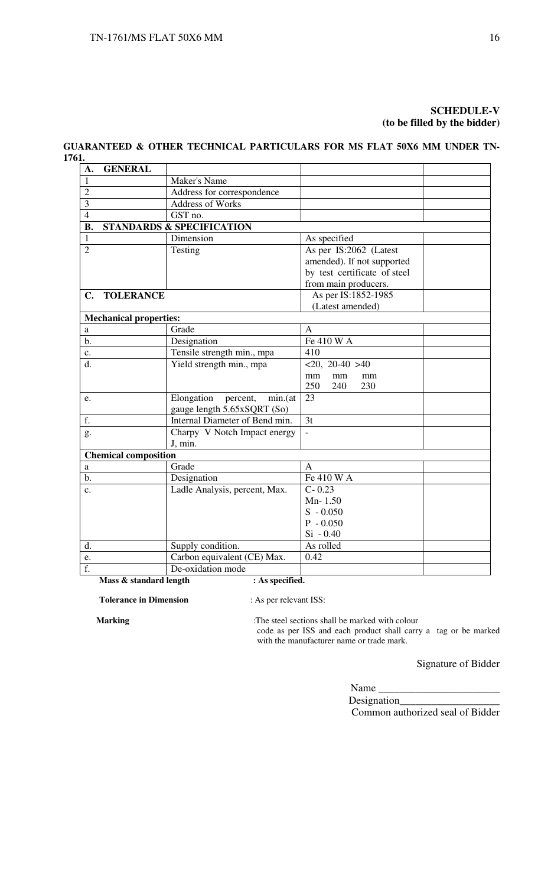## **SCHEDULE-V (to be filled by the bidder)**

## **GUARANTEED & OTHER TECHNICAL PARTICULARS FOR MS FLAT 50X6 MM UNDER TN-1761.**

| A.             | <b>GENERAL</b>                |                                      |                              |  |  |  |  |
|----------------|-------------------------------|--------------------------------------|------------------------------|--|--|--|--|
| $\mathbf{1}$   |                               | <b>Maker's Name</b>                  |                              |  |  |  |  |
| $\overline{2}$ |                               | Address for correspondence           |                              |  |  |  |  |
| 3              |                               | <b>Address of Works</b>              |                              |  |  |  |  |
| $\overline{4}$ |                               | GST no.                              |                              |  |  |  |  |
| <b>B.</b>      |                               | <b>STANDARDS &amp; SPECIFICATION</b> |                              |  |  |  |  |
| 1              |                               | Dimension                            | As specified                 |  |  |  |  |
| $\overline{2}$ |                               | Testing                              | As per IS:2062 (Latest       |  |  |  |  |
|                |                               |                                      | amended). If not supported   |  |  |  |  |
|                |                               |                                      | by test certificate of steel |  |  |  |  |
|                |                               |                                      | from main producers.         |  |  |  |  |
| $\mathbf{C}$ . | <b>TOLERANCE</b>              |                                      | As per IS:1852-1985          |  |  |  |  |
|                |                               |                                      | (Latest amended)             |  |  |  |  |
|                | <b>Mechanical properties:</b> |                                      |                              |  |  |  |  |
| a              |                               | Grade                                | А                            |  |  |  |  |
| b.             |                               | Designation                          | Fe 410 W A                   |  |  |  |  |
| $\mathbf{c}$ . | Tensile strength min., mpa    |                                      | 410                          |  |  |  |  |
| d.             |                               | Yield strength min., mpa             | $<20, 20-40 >40$             |  |  |  |  |
|                |                               |                                      | mm<br>mm<br>mm               |  |  |  |  |
|                |                               |                                      | 250<br>230<br>240            |  |  |  |  |
| e.             |                               | Elongation<br>min.(at<br>percent,    | 23                           |  |  |  |  |
|                |                               | gauge length 5.65xSQRT (So)          |                              |  |  |  |  |
| f.             |                               | Internal Diameter of Bend min.       | 3t                           |  |  |  |  |
| g.             |                               | Charpy V Notch Impact energy         |                              |  |  |  |  |
|                |                               | J, min.                              |                              |  |  |  |  |
|                | <b>Chemical composition</b>   |                                      |                              |  |  |  |  |
| a              |                               | Grade                                | A                            |  |  |  |  |
| b.             |                               | Designation                          | Fe 410 W A                   |  |  |  |  |
| $\mathbf{c}$ . |                               | Ladle Analysis, percent, Max.        | $C - 0.23$                   |  |  |  |  |
|                |                               |                                      | Mn-1.50                      |  |  |  |  |
|                |                               |                                      | $S - 0.050$                  |  |  |  |  |
|                |                               |                                      | $P - 0.050$                  |  |  |  |  |
|                |                               |                                      | $Si - 0.40$                  |  |  |  |  |
| d.             |                               | Supply condition.                    | As rolled                    |  |  |  |  |
| e.             |                               | Carbon equivalent (CE) Max.          | 0.42                         |  |  |  |  |
| f.             |                               | De-oxidation mode                    |                              |  |  |  |  |
|                | Mass & standard length        | : As specified.                      |                              |  |  |  |  |

**Tolerance in Dimension** : As per relevant ISS:

**Marking** :The steel sections shall be marked with colour code as per ISS and each product shall carry a tag or be marked with the manufacturer name or trade mark.

Signature of Bidder

Name Designation

Common authorized seal of Bidder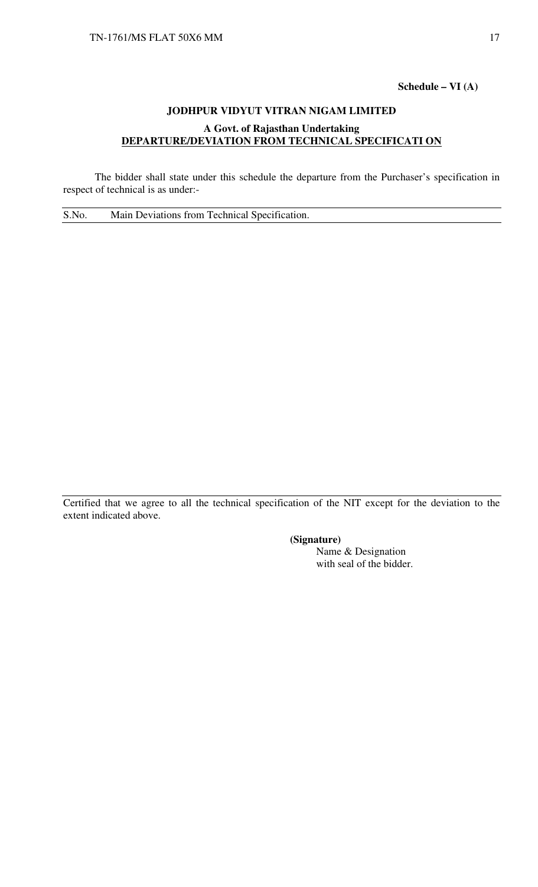## **Schedule – VI (A)**

## **JODHPUR VIDYUT VITRAN NIGAM LIMITED A Govt. of Rajasthan Undertaking DEPARTURE/DEVIATION FROM TECHNICAL SPECIFICATI ON**

 The bidder shall state under this schedule the departure from the Purchaser's specification in respect of technical is as under:-

S.No. Main Deviations from Technical Specification.

Certified that we agree to all the technical specification of the NIT except for the deviation to the extent indicated above.

**(Signature)** 

Name & Designation with seal of the bidder.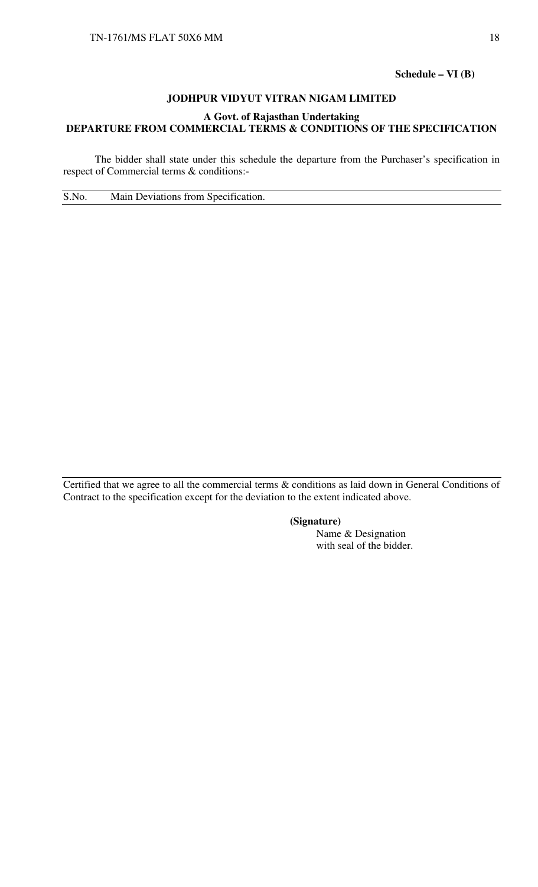**Schedule – VI (B)** 

## **JODHPUR VIDYUT VITRAN NIGAM LIMITED**

## **A Govt. of Rajasthan Undertaking DEPARTURE FROM COMMERCIAL TERMS & CONDITIONS OF THE SPECIFICATION**

 The bidder shall state under this schedule the departure from the Purchaser's specification in respect of Commercial terms & conditions:-

S.No. Main Deviations from Specification.

Certified that we agree to all the commercial terms & conditions as laid down in General Conditions of Contract to the specification except for the deviation to the extent indicated above.

## **(Signature)**

Name & Designation with seal of the bidder.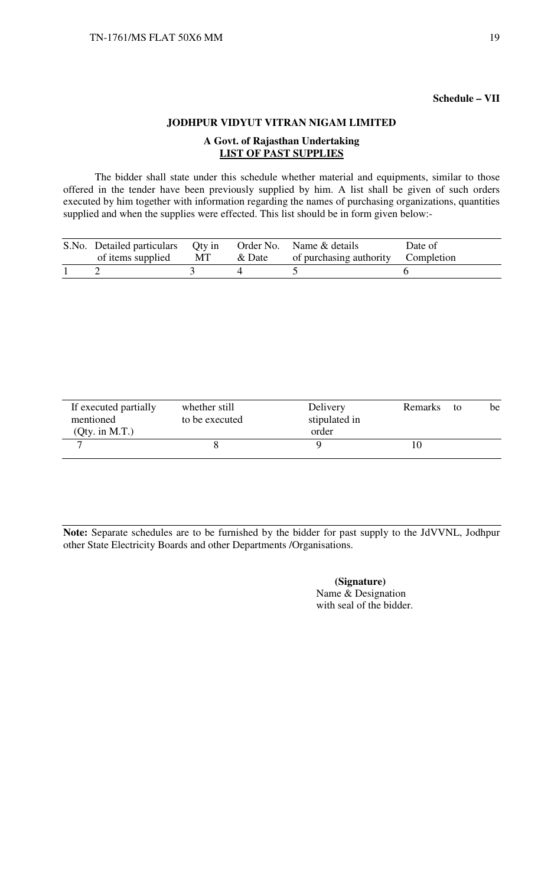## **Schedule – VII**

## **JODHPUR VIDYUT VITRAN NIGAM LIMITED**

## **A Govt. of Rajasthan Undertaking LIST OF PAST SUPPLIES**

 The bidder shall state under this schedule whether material and equipments, similar to those offered in the tender have been previously supplied by him. A list shall be given of such orders executed by him together with information regarding the names of purchasing organizations, quantities supplied and when the supplies were effected. This list should be in form given below:-

| S.No. Detailed particulars Qty in<br>of items supplied | MT | & Date | Order No. Name & details<br>of purchasing authority Completion | Date of |
|--------------------------------------------------------|----|--------|----------------------------------------------------------------|---------|
|                                                        |    |        |                                                                |         |

| If executed partially<br>mentioned | whether still<br>to be executed | Delivery<br>stipulated in | Remarks | to | be |
|------------------------------------|---------------------------------|---------------------------|---------|----|----|
| (Qty. in M.T.)                     |                                 | order                     |         |    |    |
| -                                  |                                 |                           |         |    |    |

**Note:** Separate schedules are to be furnished by the bidder for past supply to the JdVVNL, Jodhpur other State Electricity Boards and other Departments /Organisations.

> **(Signature)**  Name & Designation with seal of the bidder.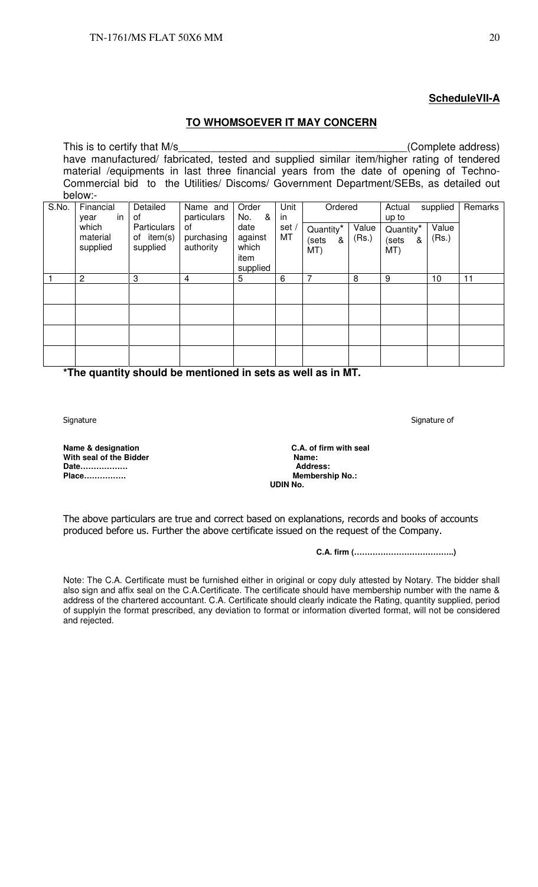## **ScheduleVII-A**

## **TO WHOMSOEVER IT MAY CONCERN**

This is to certify that M/s  $(Complete address)$ have manufactured/ fabricated, tested and supplied similar item/higher rating of tendered material /equipments in last three financial years from the date of opening of Techno-Commercial bid to the Utilities/ Discoms/ Government Department/SEBs, as detailed out below:-

|       | ~~~~**                        |                                       |                               |                                              |             |                                            |                |                                            |                |         |
|-------|-------------------------------|---------------------------------------|-------------------------------|----------------------------------------------|-------------|--------------------------------------------|----------------|--------------------------------------------|----------------|---------|
| S.No. | Financial<br>in.<br>year      | Detailed<br>0f                        | Name and<br>particulars       | Order<br>No.<br>&                            | Unit<br>in  | Ordered                                    |                | Actual<br>up to                            | supplied       | Remarks |
|       | which<br>material<br>supplied | Particulars<br>of item(s)<br>supplied | 0f<br>purchasing<br>authority | date<br>against<br>which<br>item<br>supplied | set /<br>MT | Quantity <sup>*</sup><br>(sets<br>&<br>MT) | Value<br>(Rs.) | Quantity <sup>*</sup><br>(sets<br>&<br>MT) | Value<br>(Rs.) |         |
|       | $\overline{c}$                | 3                                     | 4                             | 5                                            | 6           | 7                                          | 8              | 9                                          | 10             | 11      |
|       |                               |                                       |                               |                                              |             |                                            |                |                                            |                |         |
|       |                               |                                       |                               |                                              |             |                                            |                |                                            |                |         |
|       |                               |                                       |                               |                                              |             |                                            |                |                                            |                |         |
|       |                               |                                       |                               |                                              |             |                                            |                |                                            |                |         |

**\*The quantity should be mentioned in sets as well as in MT.** 

**Place...............** 

**Name & designation C.A. of firm with seal and Solution C.A. of firm with seal With seal Mame:** with seal of the Bidder **Name: Name: Name: Name: Name: Address: Date……………… Address: UDIN No.**

The above particulars are true and correct based on explanations, records and books of accounts produced before us. Further the above certificate issued on the request of the Company.

**C.A. firm (………………………………..)** 

Note: The C.A. Certificate must be furnished either in original or copy duly attested by Notary. The bidder shall also sign and affix seal on the C.A.Certificate. The certificate should have membership number with the name & address of the chartered accountant. C.A. Certificate should clearly indicate the Rating, quantity supplied, period of supplyin the format prescribed, any deviation to format or information diverted format, will not be considered and rejected.

Signature Signature of the Signature of the Signature of the Signature of Signature of the Signature of the Signature of the Signature of the Signature of the Signature of the Signature of the Signature of the Signature of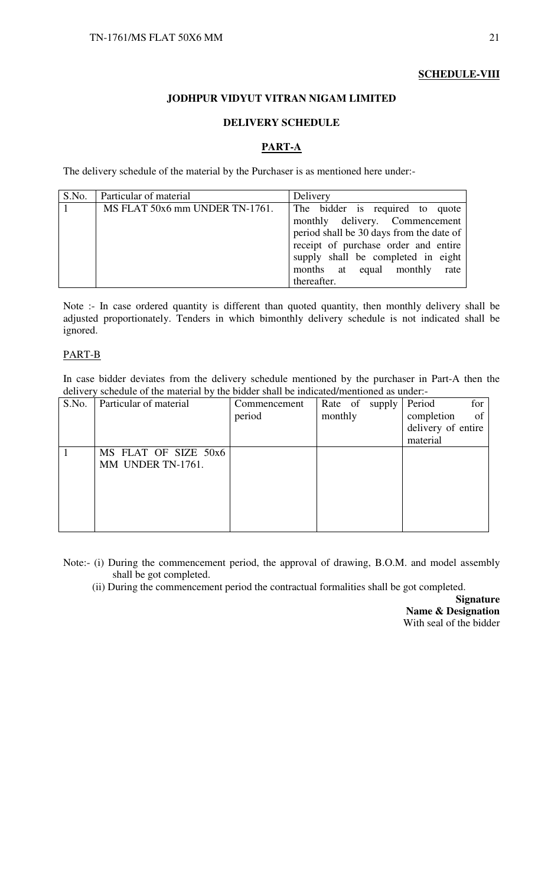## **SCHEDULE-VIII**

## **JODHPUR VIDYUT VITRAN NIGAM LIMITED**

### **DELIVERY SCHEDULE**

## **PART-A**

The delivery schedule of the material by the Purchaser is as mentioned here under:-

| S.No. | Particular of material         | Delivery                                 |
|-------|--------------------------------|------------------------------------------|
|       | MS FLAT 50x6 mm UNDER TN-1761. | The bidder is required to quote          |
|       |                                | monthly delivery. Commencement           |
|       |                                | period shall be 30 days from the date of |
|       |                                | receipt of purchase order and entire     |
|       |                                | supply shall be completed in eight       |
|       |                                | months at equal monthly<br>rate          |
|       |                                | thereafter.                              |

Note :- In case ordered quantity is different than quoted quantity, then monthly delivery shall be adjusted proportionately. Tenders in which bimonthly delivery schedule is not indicated shall be ignored.

#### PART-B

In case bidder deviates from the delivery schedule mentioned by the purchaser in Part-A then the delivery schedule of the material by the bidder shall be indicated/mentioned as under:-

| S.No. | Particular of material | Commencement | Rate of supply | Period<br>for      |
|-------|------------------------|--------------|----------------|--------------------|
|       |                        | period       | monthly        | completion<br>of   |
|       |                        |              |                | delivery of entire |
|       |                        |              |                | material           |
|       | MS FLAT OF SIZE 50x6   |              |                |                    |
|       | MM UNDER TN-1761.      |              |                |                    |
|       |                        |              |                |                    |
|       |                        |              |                |                    |
|       |                        |              |                |                    |
|       |                        |              |                |                    |
|       |                        |              |                |                    |

Note:- (i) During the commencement period, the approval of drawing, B.O.M. and model assembly shall be got completed.

(ii) During the commencement period the contractual formalities shall be got completed.

**Signature Name & Designation**  With seal of the bidder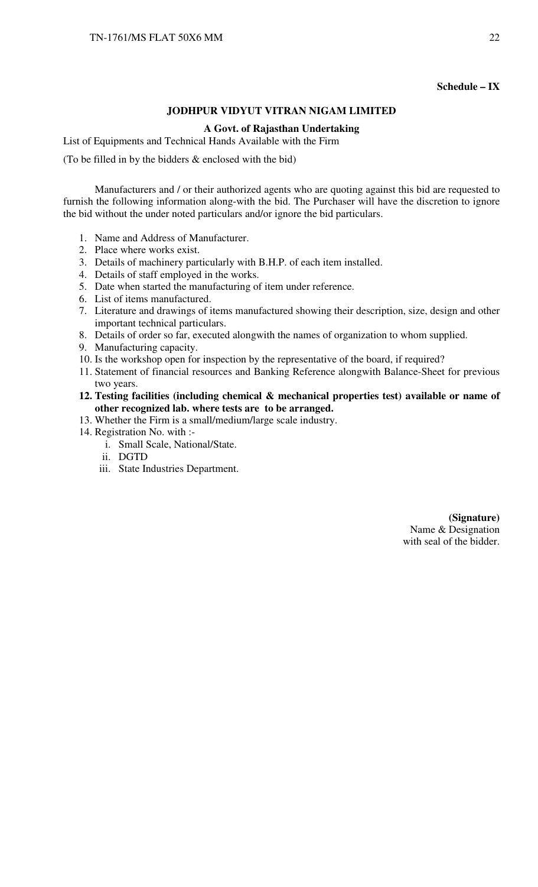#### **Schedule – IX**

#### **JODHPUR VIDYUT VITRAN NIGAM LIMITED**

#### **A Govt. of Rajasthan Undertaking**

List of Equipments and Technical Hands Available with the Firm

(To be filled in by the bidders  $\&$  enclosed with the bid)

 Manufacturers and / or their authorized agents who are quoting against this bid are requested to furnish the following information along-with the bid. The Purchaser will have the discretion to ignore the bid without the under noted particulars and/or ignore the bid particulars.

- 1. Name and Address of Manufacturer.
- 2. Place where works exist.
- 3. Details of machinery particularly with B.H.P. of each item installed.
- 4. Details of staff employed in the works.
- 5. Date when started the manufacturing of item under reference.
- 6. List of items manufactured.
- 7. Literature and drawings of items manufactured showing their description, size, design and other important technical particulars.
- 8. Details of order so far, executed alongwith the names of organization to whom supplied.
- 9. Manufacturing capacity.
- 10. Is the workshop open for inspection by the representative of the board, if required?
- 11. Statement of financial resources and Banking Reference alongwith Balance-Sheet for previous two years.
- **12. Testing facilities (including chemical & mechanical properties test) available or name of other recognized lab. where tests are to be arranged.**
- 13. Whether the Firm is a small/medium/large scale industry.
- 14. Registration No. with :
	- i. Small Scale, National/State.
	- ii. DGTD
	- iii. State Industries Department.

 **(Signature)**  Name & Designation with seal of the bidder.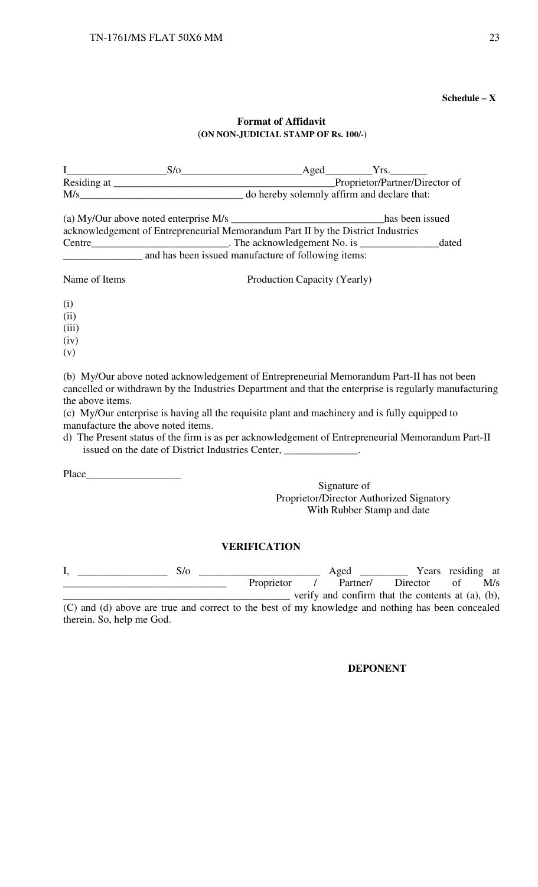#### **Schedule – X**

## **Format of Affidavit**  (**ON NON-JUDICIAL STAMP OF Rs. 100/-)**

|               | $S/\sigma$                                                                       | Aged                                        | Yrs.                           |       |
|---------------|----------------------------------------------------------------------------------|---------------------------------------------|--------------------------------|-------|
|               |                                                                                  |                                             | Proprietor/Partner/Director of |       |
|               | M/s                                                                              | do hereby solemnly affirm and declare that: |                                |       |
|               |                                                                                  |                                             | has been issued                |       |
|               | acknowledgement of Entrepreneurial Memorandum Part II by the District Industries |                                             |                                |       |
| Centre        | The acknowledgement No. is <b>Example 2014</b> 2014.                             |                                             |                                | dated |
|               | and has been issued manufacture of following items:                              |                                             |                                |       |
| Name of Items |                                                                                  | Production Capacity (Yearly)                |                                |       |
| (i)           |                                                                                  |                                             |                                |       |
| (ii)          |                                                                                  |                                             |                                |       |
| (iii)         |                                                                                  |                                             |                                |       |
| (iv)          |                                                                                  |                                             |                                |       |
| (v)           |                                                                                  |                                             |                                |       |

(b) My/Our above noted acknowledgement of Entrepreneurial Memorandum Part-II has not been cancelled or withdrawn by the Industries Department and that the enterprise is regularly manufacturing the above items.

(c) My/Our enterprise is having all the requisite plant and machinery and is fully equipped to manufacture the above noted items.

d) The Present status of the firm is as per acknowledgement of Entrepreneurial Memorandum Part-II issued on the date of District Industries Center, \_\_\_\_\_\_\_\_\_\_\_\_\_\_.

Place\_\_\_\_\_\_\_\_\_\_\_\_\_\_\_\_\_\_

Signature of Proprietor/Director Authorized Signatory With Rubber Stamp and date

### **VERIFICATION**

| 5/0                                                                                               |            | Aged     | Years residing at                                       |  |     |
|---------------------------------------------------------------------------------------------------|------------|----------|---------------------------------------------------------|--|-----|
|                                                                                                   | Proprietor | Partner/ | Director                                                |  | M/s |
|                                                                                                   |            |          | verify and confirm that the contents at $(a)$ , $(b)$ , |  |     |
| (C) and (d) above are true and correct to the best of my knowledge and nothing has been concealed |            |          |                                                         |  |     |

(C) and (d) above are true and correct to the best of my knowledge and nothing has been concealed therein. So, help me God.

#### **DEPONENT**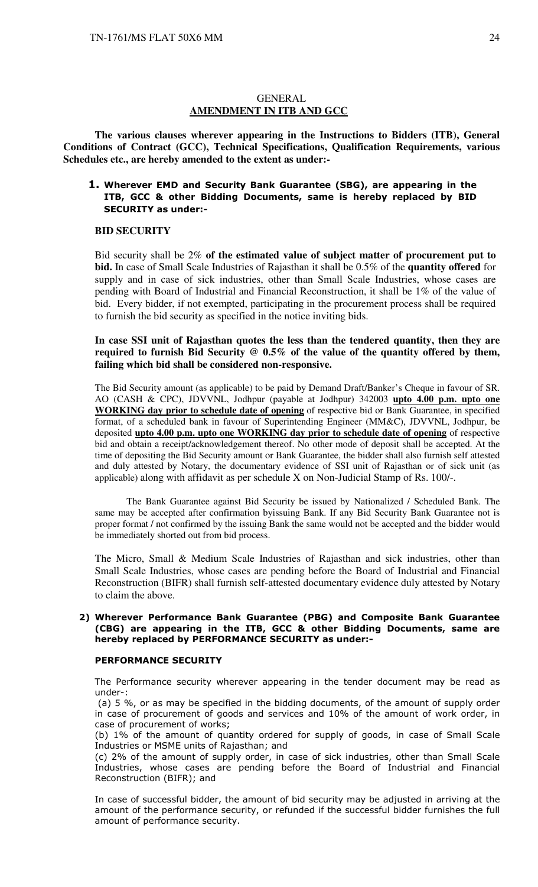#### **GENERAL AMENDMENT IN ITB AND GCC**

**The various clauses wherever appearing in the Instructions to Bidders (ITB), General Conditions of Contract (GCC), Technical Specifications, Qualification Requirements, various Schedules etc., are hereby amended to the extent as under:-** 

### 1. Wherever EMD and Security Bank Guarantee (SBG), are appearing in the ITB, GCC & other Bidding Documents, same is hereby replaced by BID SECURITY as under:-

#### **BID SECURITY**

Bid security shall be 2% **of the estimated value of subject matter of procurement put to bid.** In case of Small Scale Industries of Rajasthan it shall be 0.5% of the **quantity offered** for supply and in case of sick industries, other than Small Scale Industries, whose cases are pending with Board of Industrial and Financial Reconstruction, it shall be 1% of the value of bid. Every bidder, if not exempted, participating in the procurement process shall be required to furnish the bid security as specified in the notice inviting bids.

#### **In case SSI unit of Rajasthan quotes the less than the tendered quantity, then they are required to furnish Bid Security @ 0.5% of the value of the quantity offered by them, failing which bid shall be considered non-responsive.**

The Bid Security amount (as applicable) to be paid by Demand Draft/Banker's Cheque in favour of SR. AO (CASH & CPC), JDVVNL, Jodhpur (payable at Jodhpur) 342003 **upto 4.00 p.m. upto one WORKING day prior to schedule date of opening** of respective bid or Bank Guarantee, in specified format, of a scheduled bank in favour of Superintending Engineer (MM&C), JDVVNL, Jodhpur, be deposited **upto 4.00 p.m. upto one WORKING day prior to schedule date of opening** of respective bid and obtain a receipt/acknowledgement thereof. No other mode of deposit shall be accepted. At the time of depositing the Bid Security amount or Bank Guarantee, the bidder shall also furnish self attested and duly attested by Notary, the documentary evidence of SSI unit of Rajasthan or of sick unit (as applicable) along with affidavit as per schedule X on Non-Judicial Stamp of Rs. 100/-.

The Bank Guarantee against Bid Security be issued by Nationalized / Scheduled Bank. The same may be accepted after confirmation byissuing Bank. If any Bid Security Bank Guarantee not is proper format / not confirmed by the issuing Bank the same would not be accepted and the bidder would be immediately shorted out from bid process.

The Micro, Small & Medium Scale Industries of Rajasthan and sick industries, other than Small Scale Industries, whose cases are pending before the Board of Industrial and Financial Reconstruction (BIFR) shall furnish self-attested documentary evidence duly attested by Notary to claim the above.

#### 2) Wherever Performance Bank Guarantee (PBG) and Composite Bank Guarantee (CBG) are appearing in the ITB, GCC & other Bidding Documents, same are hereby replaced by PERFORMANCE SECURITY as under:-

#### PERFORMANCE SECURITY

The Performance security wherever appearing in the tender document may be read as under-:

 (a) 5 %, or as may be specified in the bidding documents, of the amount of supply order in case of procurement of goods and services and 10% of the amount of work order, in case of procurement of works;

(b) 1% of the amount of quantity ordered for supply of goods, in case of Small Scale Industries or MSME units of Rajasthan; and

(c) 2% of the amount of supply order, in case of sick industries, other than Small Scale Industries, whose cases are pending before the Board of Industrial and Financial Reconstruction (BIFR); and

In case of successful bidder, the amount of bid security may be adjusted in arriving at the amount of the performance security, or refunded if the successful bidder furnishes the full amount of performance security.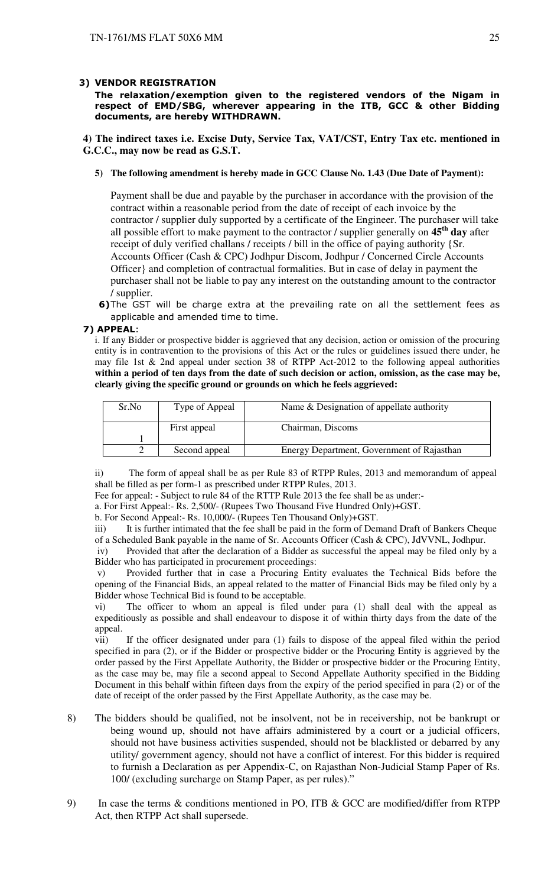#### 3) VENDOR REGISTRATION

The relaxation/exemption given to the registered vendors of the Nigam in respect of EMD/SBG, wherever appearing in the ITB, GCC & other Bidding documents, are hereby WITHDRAWN.

**4) The indirect taxes i.e. Excise Duty, Service Tax, VAT/CST, Entry Tax etc. mentioned in G.C.C., may now be read as G.S.T.** 

#### **5) The following amendment is hereby made in GCC Clause No. 1.43 (Due Date of Payment):**

Payment shall be due and payable by the purchaser in accordance with the provision of the contract within a reasonable period from the date of receipt of each invoice by the contractor / supplier duly supported by a certificate of the Engineer. The purchaser will take all possible effort to make payment to the contractor / supplier generally on **45th day** after receipt of duly verified challans / receipts / bill in the office of paying authority {Sr. Accounts Officer (Cash & CPC) Jodhpur Discom, Jodhpur / Concerned Circle Accounts Officer} and completion of contractual formalities. But in case of delay in payment the purchaser shall not be liable to pay any interest on the outstanding amount to the contractor / supplier.

6)The GST will be charge extra at the prevailing rate on all the settlement fees as applicable and amended time to time.

#### 7) APPEAL:

i. If any Bidder or prospective bidder is aggrieved that any decision, action or omission of the procuring entity is in contravention to the provisions of this Act or the rules or guidelines issued there under, he may file 1st & 2nd appeal under section 38 of RTPP Act-2012 to the following appeal authorities **within a period of ten days from the date of such decision or action, omission, as the case may be, clearly giving the specific ground or grounds on which he feels aggrieved:** 

| Sr.No | Type of Appeal | Name & Designation of appellate authority  |
|-------|----------------|--------------------------------------------|
|       | First appeal   | Chairman, Discoms                          |
|       |                |                                            |
|       | Second appeal  | Energy Department, Government of Rajasthan |

ii) The form of appeal shall be as per Rule 83 of RTPP Rules, 2013 and memorandum of appeal shall be filled as per form-1 as prescribed under RTPP Rules, 2013.

Fee for appeal: - Subject to rule 84 of the RTTP Rule 2013 the fee shall be as under:-

a. For First Appeal:- Rs. 2,500/- (Rupees Two Thousand Five Hundred Only)+GST.

b. For Second Appeal:- Rs. 10,000/- (Rupees Ten Thousand Only)+GST.

iii) It is further intimated that the fee shall be paid in the form of Demand Draft of Bankers Cheque of a Scheduled Bank payable in the name of Sr. Accounts Officer (Cash & CPC), JdVVNL, Jodhpur.

 iv) Provided that after the declaration of a Bidder as successful the appeal may be filed only by a Bidder who has participated in procurement proceedings:

 v) Provided further that in case a Procuring Entity evaluates the Technical Bids before the opening of the Financial Bids, an appeal related to the matter of Financial Bids may be filed only by a Bidder whose Technical Bid is found to be acceptable.

vi) The officer to whom an appeal is filed under para (1) shall deal with the appeal as expeditiously as possible and shall endeavour to dispose it of within thirty days from the date of the appeal.

vii) If the officer designated under para (1) fails to dispose of the appeal filed within the period specified in para (2), or if the Bidder or prospective bidder or the Procuring Entity is aggrieved by the order passed by the First Appellate Authority, the Bidder or prospective bidder or the Procuring Entity, as the case may be, may file a second appeal to Second Appellate Authority specified in the Bidding Document in this behalf within fifteen days from the expiry of the period specified in para (2) or of the date of receipt of the order passed by the First Appellate Authority, as the case may be.

- 8) The bidders should be qualified, not be insolvent, not be in receivership, not be bankrupt or being wound up, should not have affairs administered by a court or a judicial officers, should not have business activities suspended, should not be blacklisted or debarred by any utility/ government agency, should not have a conflict of interest. For this bidder is required to furnish a Declaration as per Appendix-C, on Rajasthan Non-Judicial Stamp Paper of Rs. 100/ (excluding surcharge on Stamp Paper, as per rules)."
- 9) In case the terms & conditions mentioned in PO, ITB & GCC are modified/differ from RTPP Act, then RTPP Act shall supersede.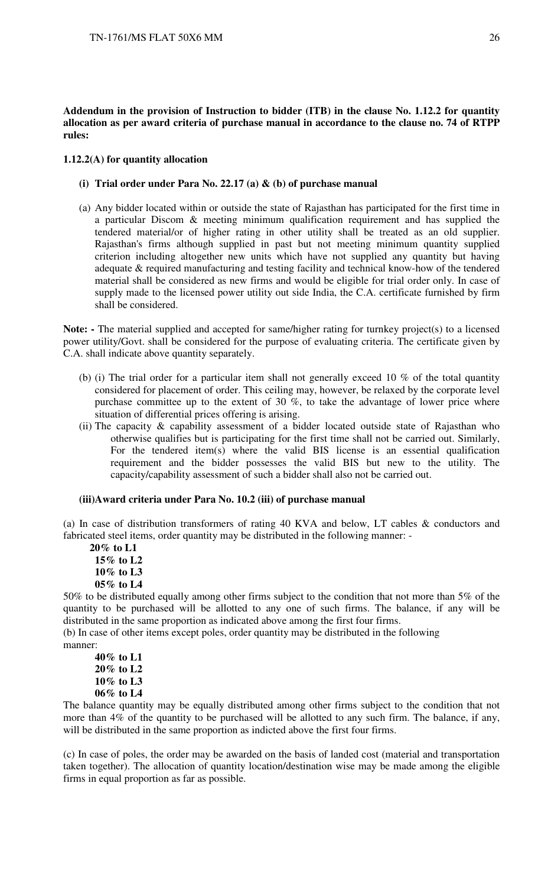**Addendum in the provision of Instruction to bidder (ITB) in the clause No. 1.12.2 for quantity allocation as per award criteria of purchase manual in accordance to the clause no. 74 of RTPP rules:** 

#### **1.12.2(A) for quantity allocation**

- **(i) Trial order under Para No. 22.17 (a) & (b) of purchase manual**
- (a) Any bidder located within or outside the state of Rajasthan has participated for the first time in a particular Discom & meeting minimum qualification requirement and has supplied the tendered material/or of higher rating in other utility shall be treated as an old supplier. Rajasthan's firms although supplied in past but not meeting minimum quantity supplied criterion including altogether new units which have not supplied any quantity but having adequate & required manufacturing and testing facility and technical know-how of the tendered material shall be considered as new firms and would be eligible for trial order only. In case of supply made to the licensed power utility out side India, the C.A. certificate furnished by firm shall be considered.

Note: - The material supplied and accepted for same/higher rating for turnkey project(s) to a licensed power utility/Govt. shall be considered for the purpose of evaluating criteria. The certificate given by C.A. shall indicate above quantity separately.

- (b) (i) The trial order for a particular item shall not generally exceed 10 % of the total quantity considered for placement of order. This ceiling may, however, be relaxed by the corporate level purchase committee up to the extent of 30  $\%$ , to take the advantage of lower price where situation of differential prices offering is arising.
- (ii) The capacity  $\&$  capability assessment of a bidder located outside state of Rajasthan who otherwise qualifies but is participating for the first time shall not be carried out. Similarly, For the tendered item(s) where the valid BIS license is an essential qualification requirement and the bidder possesses the valid BIS but new to the utility. The capacity/capability assessment of such a bidder shall also not be carried out.

#### **(iii)Award criteria under Para No. 10.2 (iii) of purchase manual**

(a) In case of distribution transformers of rating 40 KVA and below, LT cables & conductors and fabricated steel items, order quantity may be distributed in the following manner: -

 **20% to L1 15% to L2 10% to L3 05% to L4** 

50% to be distributed equally among other firms subject to the condition that not more than 5% of the quantity to be purchased will be allotted to any one of such firms. The balance, if any will be distributed in the same proportion as indicated above among the first four firms.

(b) In case of other items except poles, order quantity may be distributed in the following manner:

**40% to L1 20% to L2 10% to L3 06% to L4** 

The balance quantity may be equally distributed among other firms subject to the condition that not more than 4% of the quantity to be purchased will be allotted to any such firm. The balance, if any, will be distributed in the same proportion as indicted above the first four firms.

(c) In case of poles, the order may be awarded on the basis of landed cost (material and transportation taken together). The allocation of quantity location/destination wise may be made among the eligible firms in equal proportion as far as possible.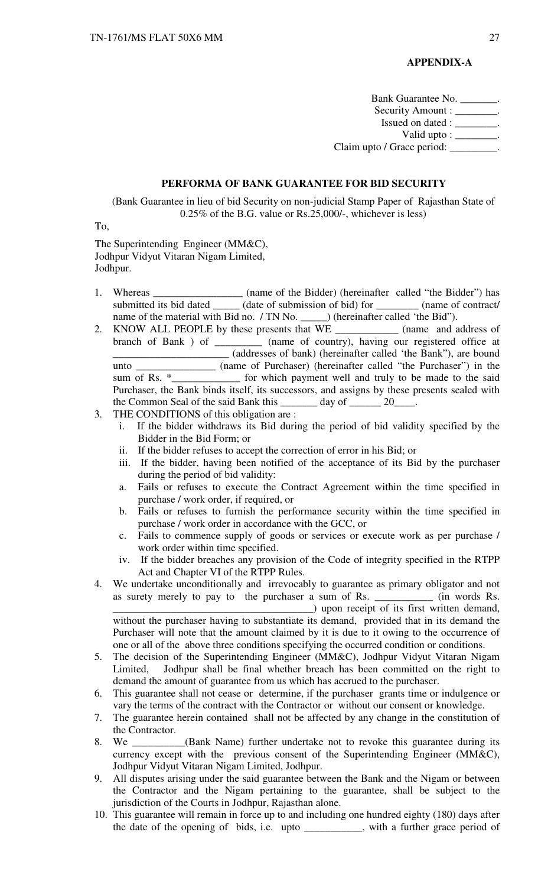#### **APPENDIX-A**

Bank Guarantee No. \_\_\_\_\_\_\_. Security Amount : \_\_\_\_\_\_\_\_. Issued on dated : \_\_\_\_\_\_\_\_. Valid upto :  $\frac{\ }{\ }$ . Claim upto / Grace period: \_\_\_\_\_\_\_\_\_

#### **PERFORMA OF BANK GUARANTEE FOR BID SECURITY**

(Bank Guarantee in lieu of bid Security on non-judicial Stamp Paper of Rajasthan State of 0.25% of the B.G. value or Rs.25,000/-, whichever is less)

To,

The Superintending Engineer (MM&C), Jodhpur Vidyut Vitaran Nigam Limited, Jodhpur.

- 1. Whereas \_\_\_\_\_\_\_\_\_\_\_\_\_\_\_\_\_\_\_ (name of the Bidder) (hereinafter called "the Bidder") has submitted its bid dated \_\_\_\_\_\_ (date of submission of bid) for \_\_\_\_\_\_\_\_\_ (name of contract/ name of the material with Bid no. / TN No. \_\_\_\_\_\_) (hereinafter called 'the Bid'').
- 2. KNOW ALL PEOPLE by these presents that WE \_\_\_\_\_\_\_\_\_\_\_\_ (name and address of branch of Bank ) of \_\_\_\_\_\_\_\_\_ (name of country), having our registered office at \_\_\_\_\_\_\_\_\_\_\_\_\_\_\_\_\_\_\_\_\_\_ (addresses of bank) (hereinafter called 'the Bank"), are bound unto  $\frac{1}{\text{sum of Rs. *}}$  (name of Purchaser) (hereinafter called "the Purchaser") in the sum of Rs.  $\frac{1}{\text{sum of the area}}$  for which payment well and truly to be made to the said sum of Rs. \*\_\_\_\_\_\_\_\_\_\_\_\_\_ for which payment well and truly to be made to the said Purchaser, the Bank binds itself, its successors, and assigns by these presents sealed with the Common Seal of the said Bank this day of 20
- 3. THE CONDITIONS of this obligation are :
	- i. If the bidder withdraws its Bid during the period of bid validity specified by the Bidder in the Bid Form; or
	- ii. If the bidder refuses to accept the correction of error in his Bid; or
	- iii. If the bidder, having been notified of the acceptance of its Bid by the purchaser during the period of bid validity:
	- a. Fails or refuses to execute the Contract Agreement within the time specified in purchase / work order, if required, or
	- b. Fails or refuses to furnish the performance security within the time specified in purchase / work order in accordance with the GCC, or
	- c. Fails to commence supply of goods or services or execute work as per purchase / work order within time specified.
	- iv. If the bidder breaches any provision of the Code of integrity specified in the RTPP Act and Chapter VI of the RTPP Rules.
- 4. We undertake unconditionally and irrevocably to guarantee as primary obligator and not as surety merely to pay to the purchaser a sum of Rs. \_\_\_\_\_\_\_\_\_\_\_ (in words Rs. \_\_\_\_\_\_\_\_\_\_\_\_\_\_\_\_\_\_\_\_\_\_\_\_\_\_\_\_\_\_\_\_\_\_\_\_\_\_) upon receipt of its first written demand, without the purchaser having to substantiate its demand, provided that in its demand the Purchaser will note that the amount claimed by it is due to it owing to the occurrence of one or all of the above three conditions specifying the occurred condition or conditions.
- 5. The decision of the Superintending Engineer (MM&C), Jodhpur Vidyut Vitaran Nigam Limited, Jodhpur shall be final whether breach has been committed on the right to demand the amount of guarantee from us which has accrued to the purchaser.
- 6. This guarantee shall not cease or determine, if the purchaser grants time or indulgence or vary the terms of the contract with the Contractor or without our consent or knowledge.
- 7. The guarantee herein contained shall not be affected by any change in the constitution of the Contractor.
- 8. We \_\_\_\_\_\_\_\_\_\_(Bank Name) further undertake not to revoke this guarantee during its currency except with the previous consent of the Superintending Engineer (MM&C), Jodhpur Vidyut Vitaran Nigam Limited, Jodhpur.
- 9. All disputes arising under the said guarantee between the Bank and the Nigam or between the Contractor and the Nigam pertaining to the guarantee, shall be subject to the jurisdiction of the Courts in Jodhpur, Rajasthan alone.
- 10. This guarantee will remain in force up to and including one hundred eighty (180) days after the date of the opening of bids, i.e. upto \_\_\_\_\_\_\_\_\_\_\_, with a further grace period of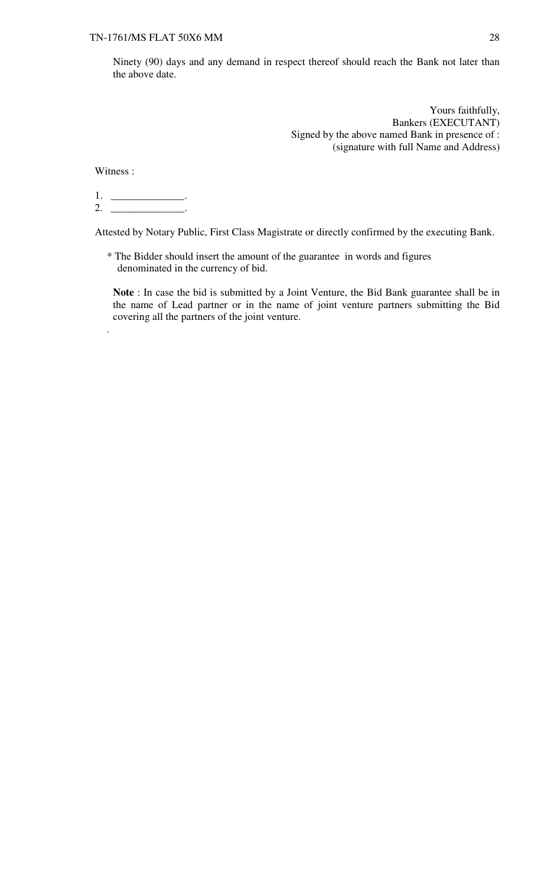Ninety (90) days and any demand in respect thereof should reach the Bank not later than the above date.

> Yours faithfully, Bankers (EXECUTANT) Signed by the above named Bank in presence of : (signature with full Name and Address)

Witness :

.

1. \_\_\_\_\_\_\_\_\_\_\_\_\_\_. 2. \_\_\_\_\_\_\_\_\_\_\_\_\_\_\_\_\_.

Attested by Notary Public, First Class Magistrate or directly confirmed by the executing Bank.

\* The Bidder should insert the amount of the guarantee in words and figures denominated in the currency of bid.

**Note** : In case the bid is submitted by a Joint Venture, the Bid Bank guarantee shall be in the name of Lead partner or in the name of joint venture partners submitting the Bid covering all the partners of the joint venture.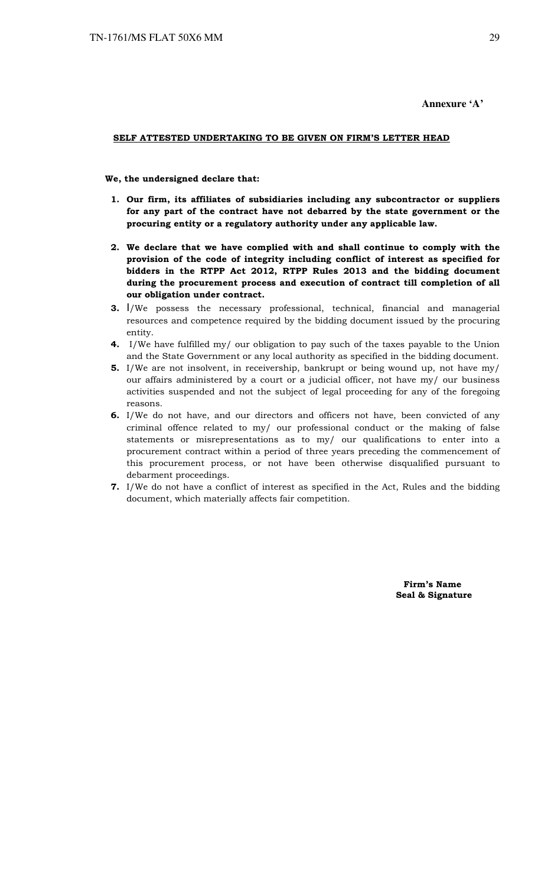#### **Annexure 'A'**

#### SELF ATTESTED UNDERTAKING TO BE GIVEN ON FIRM'S LETTER HEAD

#### We, the undersigned declare that:

- 1. Our firm, its affiliates of subsidiaries including any subcontractor or suppliers for any part of the contract have not debarred by the state government or the procuring entity or a regulatory authority under any applicable law.
- 2. We declare that we have complied with and shall continue to comply with the provision of the code of integrity including conflict of interest as specified for bidders in the RTPP Act 2012, RTPP Rules 2013 and the bidding document during the procurement process and execution of contract till completion of all our obligation under contract.
- 3. I/We possess the necessary professional, technical, financial and managerial resources and competence required by the bidding document issued by the procuring entity.
- 4. I/We have fulfilled my/ our obligation to pay such of the taxes payable to the Union and the State Government or any local authority as specified in the bidding document.
- 5. I/We are not insolvent, in receivership, bankrupt or being wound up, not have my/ our affairs administered by a court or a judicial officer, not have my/ our business activities suspended and not the subject of legal proceeding for any of the foregoing reasons.
- 6. I/We do not have, and our directors and officers not have, been convicted of any criminal offence related to my/ our professional conduct or the making of false statements or misrepresentations as to my/ our qualifications to enter into a procurement contract within a period of three years preceding the commencement of this procurement process, or not have been otherwise disqualified pursuant to debarment proceedings.
- 7. I/We do not have a conflict of interest as specified in the Act, Rules and the bidding document, which materially affects fair competition.

 Firm's Name Seal & Signature